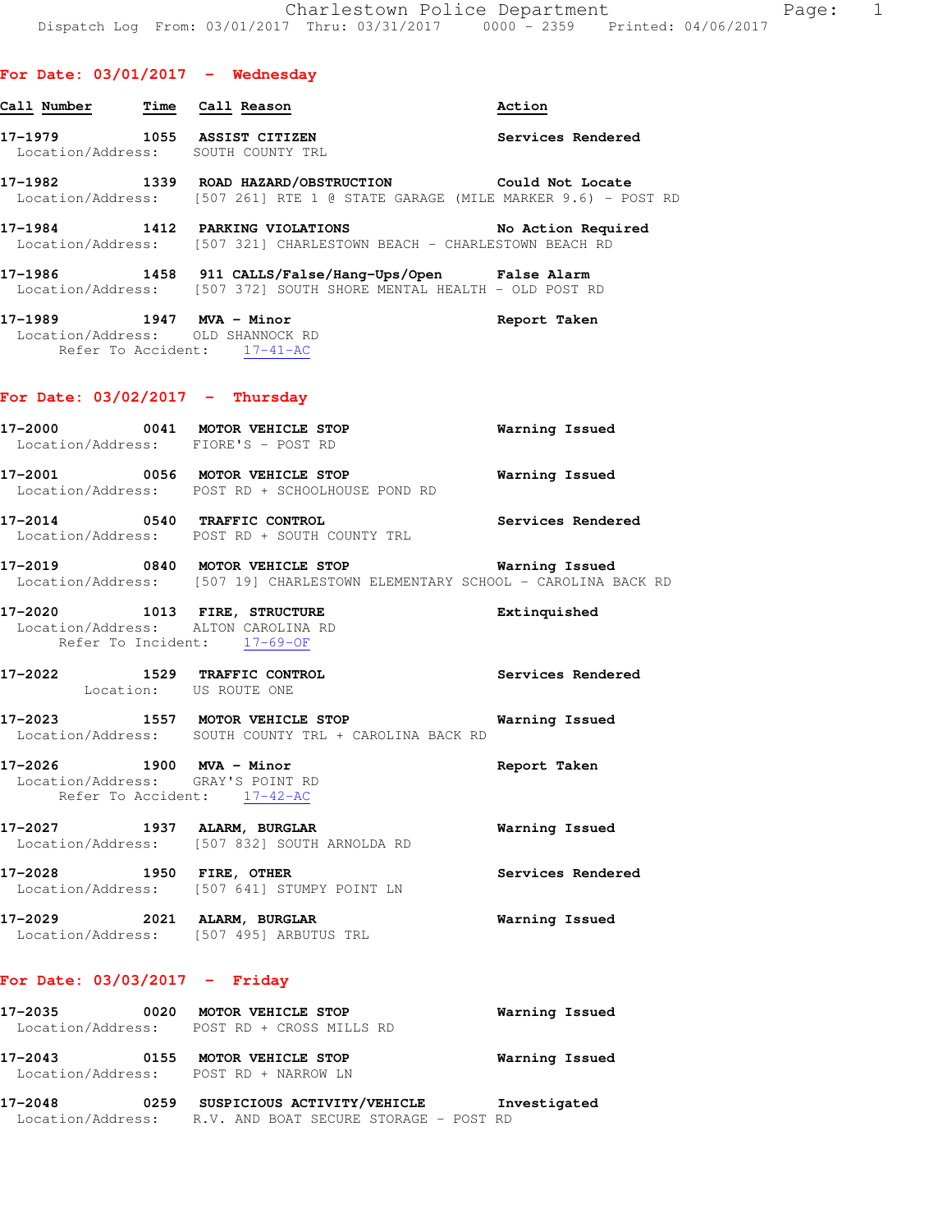| Call Number | Time Call Reason                                                                                                                                                                    | Action             |
|-------------|-------------------------------------------------------------------------------------------------------------------------------------------------------------------------------------|--------------------|
| 17-1979     | 1055 ASSIST CITIZEN<br>Location/Address: SOUTH COUNTY TRL                                                                                                                           | Services Rendered  |
|             | 17-1982                  1339    ROAD  HAZARD/OBSTRUCTION                        Could  Not  Locate<br>Location/Address: [507 261] RTE 1 @ STATE GARAGE (MILE MARKER 9.6) - POST RD |                    |
| 17-1984     | 1412 PARKING VIOLATIONS<br>Location/Address: [507 321] CHARLESTOWN BEACH - CHARLESTOWN BEACH RD                                                                                     | No Action Required |
|             | 17-1986 1458 911 CALLS/False/Hang-Ups/Open False Alarm<br>Location/Address: [507 372] SOUTH SHORE MENTAL HEALTH - OLD POST RD                                                       |                    |
| 17–1989     | 1947 MVA - Minor<br>Location/Address: OLD SHANNOCK RD<br>Refer To Accident: 17-41-AC                                                                                                | Report Taken       |

#### **For Date: 03/02/2017 - Thursday**

- **17-2000 0041 MOTOR VEHICLE STOP Warning Issued**  Location/Address: FIORE'S - POST RD **17-2001 0056 MOTOR VEHICLE STOP Warning Issued**  Location/Address: POST RD + SCHOOLHOUSE POND RD
- **17-2014 0540 TRAFFIC CONTROL Services Rendered**  Location/Address: POST RD + SOUTH COUNTY TRL
- **17-2019 0840 MOTOR VEHICLE STOP Warning Issued**  Location/Address: [507 19] CHARLESTOWN ELEMENTARY SCHOOL - CAROLINA BACK RD
- **17-2020 1013 FIRE, STRUCTURE Extinquished**  Location/Address: ALTON CAROLINA RD Refer To Incident: 17-69-OF
- **17-2022 1529 TRAFFIC CONTROL Services Rendered**  Location: US ROUTE ONE
- **17-2023 1557 MOTOR VEHICLE STOP Warning Issued**  Location/Address: SOUTH COUNTY TRL + CAROLINA BACK RD
- **17-2026 1900 MVA Minor Report Taken**  Location/Address: GRAY'S POINT RD Refer To Accident: 17-42-AC
- **17-2027 1937 ALARM, BURGLAR Warning Issued**  Location/Address: [507 832] SOUTH ARNOLDA RD **17-2028 1950 FIRE, OTHER Services Rendered**  Location/Address: [507 641] STUMPY POINT LN
- **17-2029 2021 ALARM, BURGLAR Warning Issued**  Location/Address: [507 495] ARBUTUS TRL

### **For Date: 03/03/2017 - Friday**

| 17-2035<br>Location/Address: | 0020 | MOTOR VEHICLE STOP<br>POST RD + CROSS MILLS RD              | Warning Issued |
|------------------------------|------|-------------------------------------------------------------|----------------|
| 17-2043                      | 0155 | MOTOR VEHICLE STOP<br>Location/Address: POST RD + NARROW LN | Warning Issued |
| 17-2048                      | 0259 | SUSPICIOUS ACTIVITY/VEHICLE                                 | Investigated   |

Location/Address: R.V. AND BOAT SECURE STORAGE - POST RD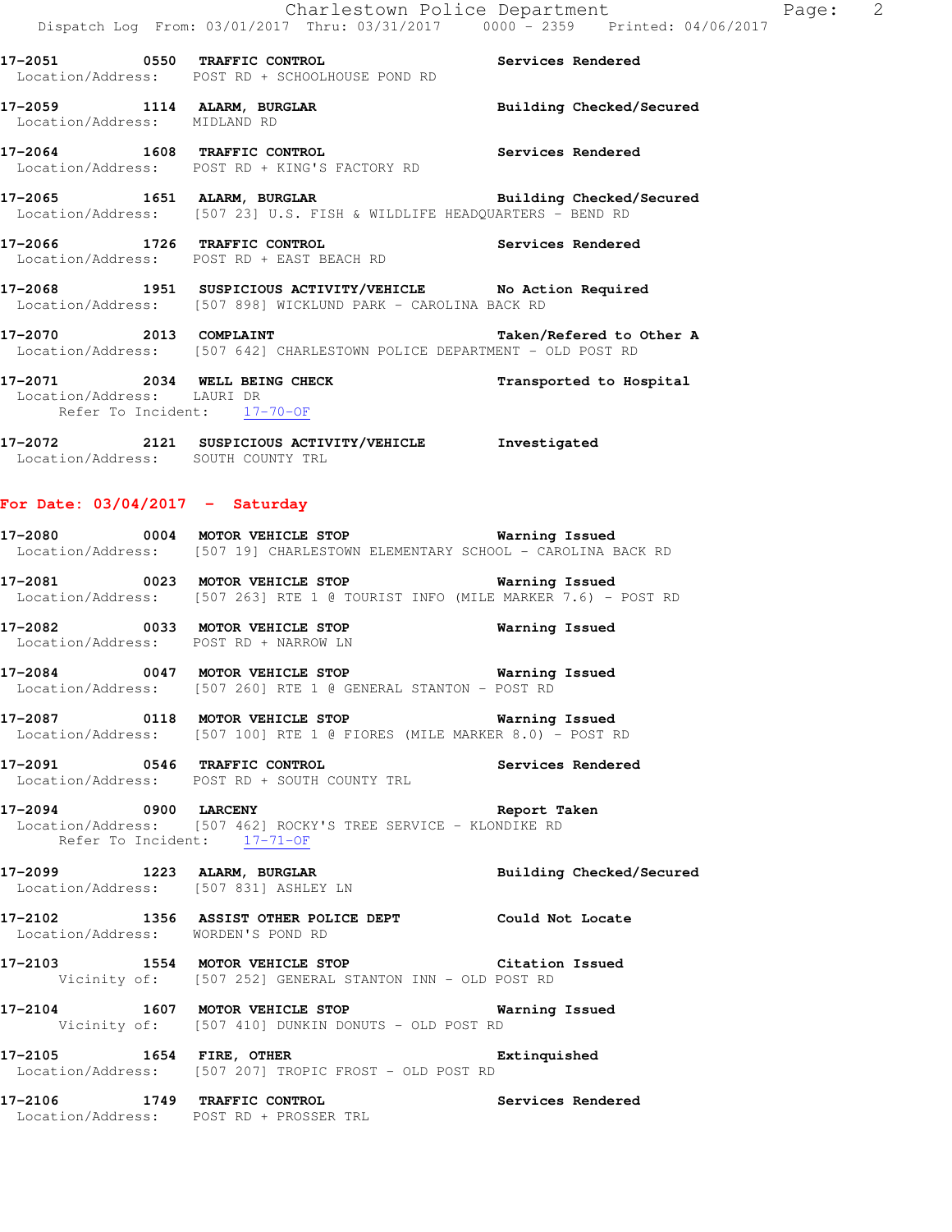|                          |  | POST RD + SCHOOLHOUSE POND RD |  |                     | Location/Address: |
|--------------------------|--|-------------------------------|--|---------------------|-------------------|
| Building Checked/Secured |  |                               |  | 1114 ALARM, BURGLAR | 17-2059           |
|                          |  |                               |  | MIDLAND RD          | Location/Address: |

**17-2064 1608 TRAFFIC CONTROL Services Rendered**  Location/Address: POST RD + KING'S FACTORY RD

**17-2065 1651 ALARM, BURGLAR Building Checked/Secured**  Location/Address: [507 23] U.S. FISH & WILDLIFE HEADQUARTERS - BEND RD

**17-2066 1726 TRAFFIC CONTROL Services Rendered**  Location/Address: POST RD + EAST BEACH RD

**17-2068 1951 SUSPICIOUS ACTIVITY/VEHICLE No Action Required**  Location/Address: [507 898] WICKLUND PARK - CAROLINA BACK RD

**17-2070 2013 COMPLAINT Taken/Refered to Other A**  Location/Address: [507 642] CHARLESTOWN POLICE DEPARTMENT - OLD POST RD

**17-2071 2034 WELL BEING CHECK Transported to Hospital**  Location/Address: LAURI DR Refer To Incident: 17-70-OF

**17-2072 2121 SUSPICIOUS ACTIVITY/VEHICLE Investigated**  Location/Address: SOUTH COUNTY TRL

### **For Date: 03/04/2017 - Saturday**

**17-2080 0004 MOTOR VEHICLE STOP Warning Issued**  Location/Address: [507 19] CHARLESTOWN ELEMENTARY SCHOOL - CAROLINA BACK RD

**17-2081 0023 MOTOR VEHICLE STOP Warning Issued**  Location/Address: [507 263] RTE 1 @ TOURIST INFO (MILE MARKER 7.6) - POST RD

**17-2082 0033 MOTOR VEHICLE STOP Warning Issued**  Location/Address: POST RD + NARROW LN

**17-2084 0047 MOTOR VEHICLE STOP Warning Issued**  Location/Address: [507 260] RTE 1 @ GENERAL STANTON - POST RD

**17-2087 0118 MOTOR VEHICLE STOP Warning Issued**  Location/Address: [507 100] RTE 1 @ FIORES (MILE MARKER 8.0) - POST RD

**17-2091 0546 TRAFFIC CONTROL Services Rendered**  Location/Address: POST RD + SOUTH COUNTY TRL

**17-2094 0900 LARCENY Report Taken**  Location/Address: [507 462] ROCKY'S TREE SERVICE - KLONDIKE RD Refer To Incident: 17-71-OF

**17-2099 1223 ALARM, BURGLAR Building Checked/Secured**  Location/Address: [507 831] ASHLEY LN

**17-2102 1356 ASSIST OTHER POLICE DEPT Could Not Locate**  Location/Address: WORDEN'S POND RD

**17-2103 1554 MOTOR VEHICLE STOP Citation Issued**  Vicinity of: [507 252] GENERAL STANTON INN - OLD POST RD

**17-2104 1607 MOTOR VEHICLE STOP Warning Issued**  Vicinity of: [507 410] DUNKIN DONUTS - OLD POST RD

**17-2105 1654 FIRE, OTHER Extinquished**  Location/Address: [507 207] TROPIC FROST - OLD POST RD

**17-2106 1749 TRAFFIC CONTROL Services Rendered**  Location/Address: POST RD + PROSSER TRL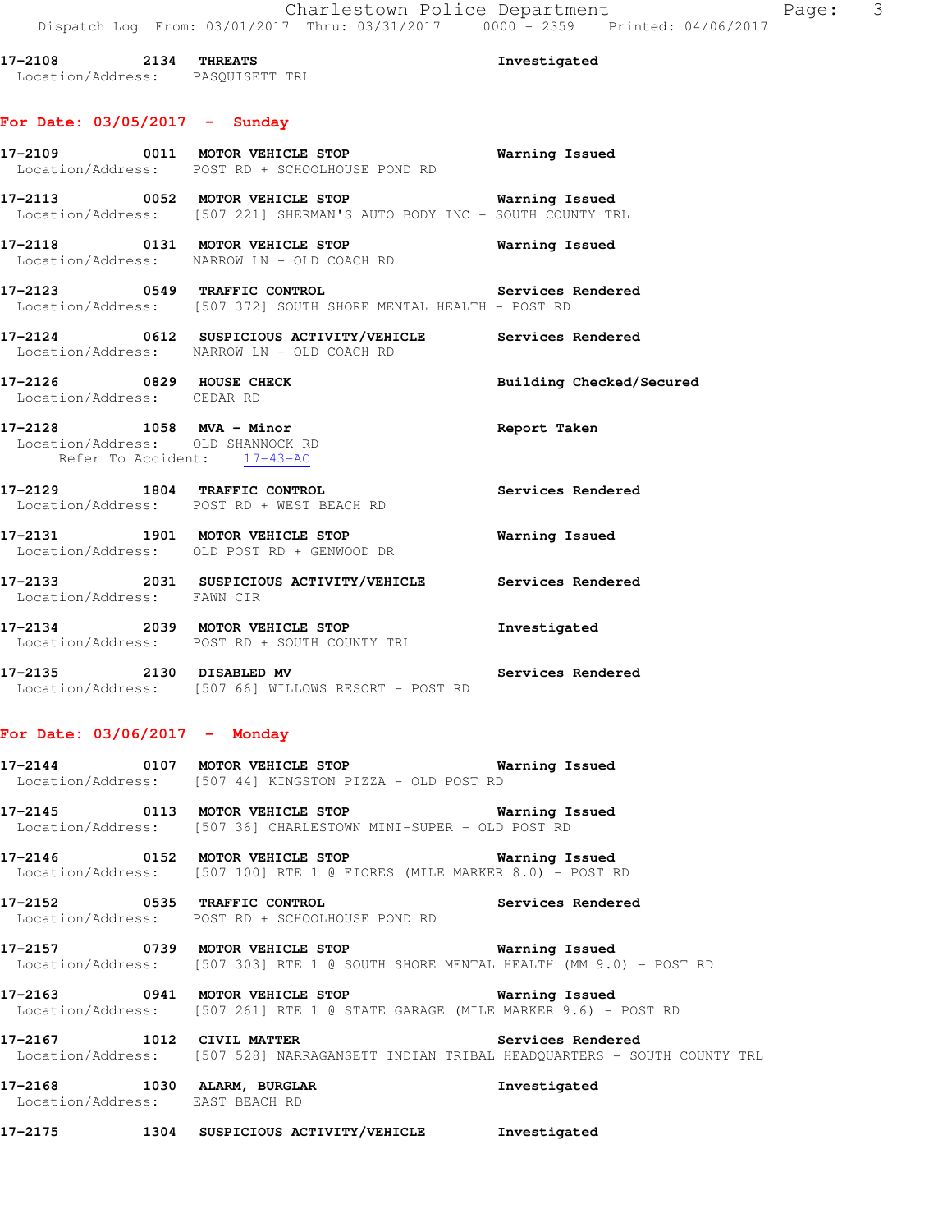| $17 - 2108$ 2134 THREATS<br>Location/Address: PASQUISETT TRL     |                                                                                                                            | Investigated             |
|------------------------------------------------------------------|----------------------------------------------------------------------------------------------------------------------------|--------------------------|
| For Date: $03/05/2017 -$ Sunday                                  |                                                                                                                            |                          |
|                                                                  | 17-2109 0011 MOTOR VEHICLE STOP 6 Warning Issued<br>Location/Address: POST RD + SCHOOLHOUSE POND RD                        |                          |
|                                                                  | 17-2113 0052 MOTOR VEHICLE STOP 6 Warning Issued<br>Location/Address: [507 221] SHERMAN'S AUTO BODY INC - SOUTH COUNTY TRL |                          |
|                                                                  | 17-2118 0131 MOTOR VEHICLE STOP<br>Location/Address: NARROW LN + OLD COACH RD                                              | Warning Issued           |
|                                                                  | 17-2123 0549 TRAFFIC CONTROL Services Rendered<br>Location/Address: [507 372] SOUTH SHORE MENTAL HEALTH - POST RD          |                          |
|                                                                  | 17-2124 0612 SUSPICIOUS ACTIVITY/VEHICLE Services Rendered<br>Location/Address: NARROW LN + OLD COACH RD                   |                          |
| 17-2126 0829 HOUSE CHECK<br>Location/Address: CEDAR RD           |                                                                                                                            | Building Checked/Secured |
| Location/Address: OLD SHANNOCK RD<br>Refer To Accident: 17-43-AC | 17-2128 1058 MVA - Minor                                                                                                   | Report Taken             |
|                                                                  | 17-2129 1804 TRAFFIC CONTROL<br>Location/Address: POST RD + WEST BEACH RD                                                  | Services Rendered        |
|                                                                  | $17-2131$ 1901 MOTOR VEHICLE STOP<br>Location/Address: OLD POST RD + GENWOOD DR                                            | <b>Warning Issued</b>    |
|                                                                  | 17-2133 2031 SUSPICIOUS ACTIVITY/VEHICLE Services Rendered<br>Location/Address: FAWN CIR                                   |                          |
|                                                                  | 17-2134 2039 MOTOR VEHICLE STOP<br>Location/Address: POST RD + SOUTH COUNTY TRL                                            | Investigated             |
|                                                                  | 17-2135 2130 DISABLED MV<br>Location/Address: [507 66] WILLOWS RESORT - POST RD                                            | Services Rendered        |
|                                                                  |                                                                                                                            |                          |

### **For Date: 03/06/2017 - Monday**

| 17-2144           | 0107 |  | MOTOR VEHICLE STOP                    |  |  | Warning Issued |  |
|-------------------|------|--|---------------------------------------|--|--|----------------|--|
| Location/Address: |      |  | [507 44] KINGSTON PIZZA - OLD POST RD |  |  |                |  |

**17-2145 0113 MOTOR VEHICLE STOP Warning Issued**  Location/Address: [507 36] CHARLESTOWN MINI-SUPER - OLD POST RD

**17-2146 0152 MOTOR VEHICLE STOP Warning Issued**  Location/Address: [507 100] RTE 1 @ FIORES (MILE MARKER 8.0) - POST RD

**17-2152 0535 TRAFFIC CONTROL Services Rendered**  Location/Address: POST RD + SCHOOLHOUSE POND RD

**17-2157 0739 MOTOR VEHICLE STOP Warning Issued**  Location/Address: [507 303] RTE 1 @ SOUTH SHORE MENTAL HEALTH (MM 9.0) - POST RD

**17-2163 0941 MOTOR VEHICLE STOP Warning Issued**  Location/Address: [507 261] RTE 1 @ STATE GARAGE (MILE MARKER 9.6) - POST RD

**17-2167 1012 CIVIL MATTER Services Rendered**  Location/Address: [507 528] NARRAGANSETT INDIAN TRIBAL HEADQUARTERS - SOUTH COUNTY TRL

**17-2168 1030 ALARM, BURGLAR Investigated**  Location/Address: EAST BEACH RD

**17-2175 1304 SUSPICIOUS ACTIVITY/VEHICLE Investigated**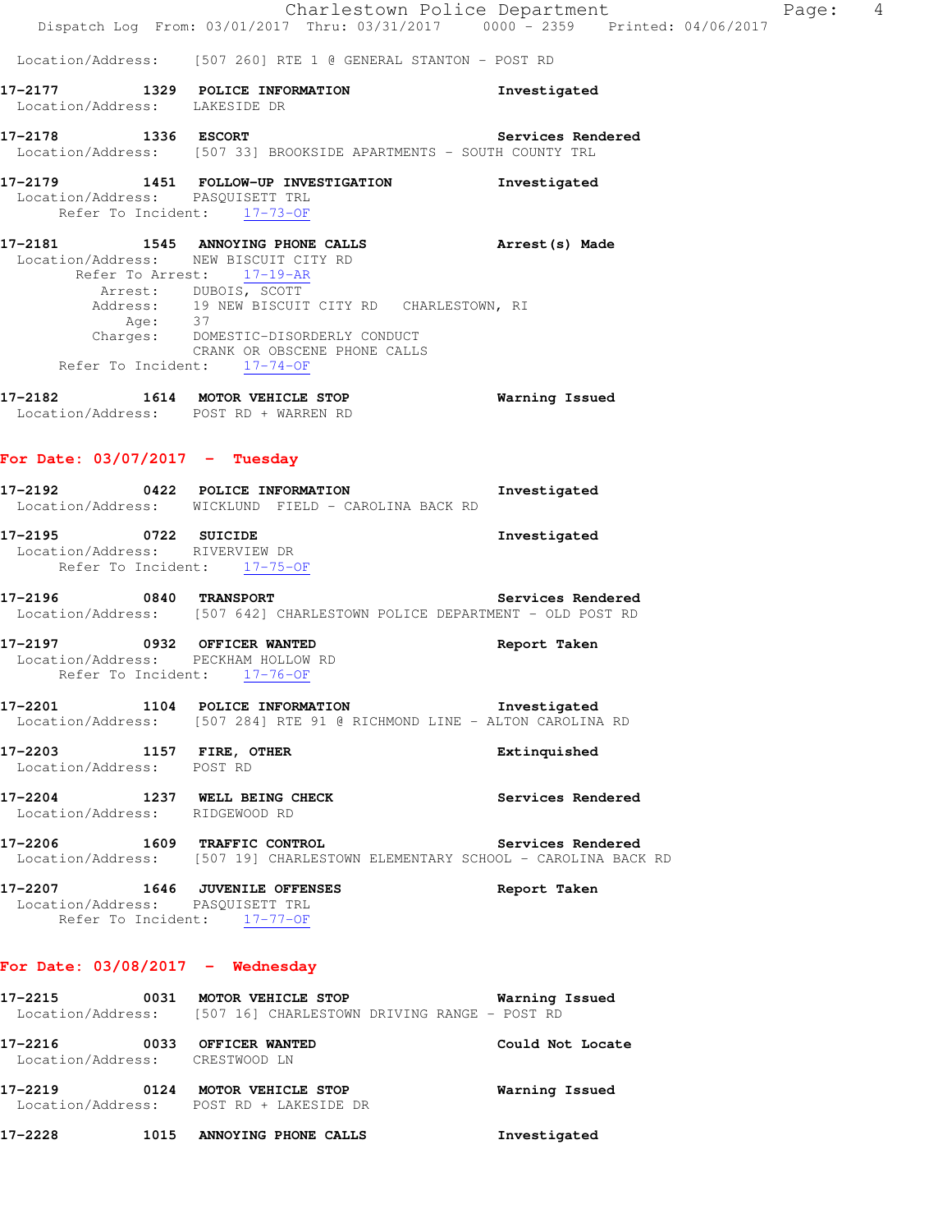|                                                                                                   | Dispatch Log From: 03/01/2017 Thru: 03/31/2017 0000 <sup>-</sup> 2359 Printed: 04/06/2017                                                        | Charlestown Police Department | 4<br>Page: |
|---------------------------------------------------------------------------------------------------|--------------------------------------------------------------------------------------------------------------------------------------------------|-------------------------------|------------|
|                                                                                                   | Location/Address: [507 260] RTE 1 @ GENERAL STANTON - POST RD                                                                                    |                               |            |
| Location/Address: LAKESIDE DR                                                                     | 17-2177 1329 POLICE INFORMATION                                                                                                                  | Investigated                  |            |
|                                                                                                   | 17-2178 1336 ESCORT<br>Location/Address: [507 33] BROOKSIDE APARTMENTS - SOUTH COUNTY TRL                                                        | Services Rendered             |            |
| Location/Address: PASOUISETT TRL<br>Refer To Incident: 17-73-OF                                   | 17-2179 1451 FOLLOW-UP INVESTIGATION                                                                                                             | Investigated                  |            |
| Location/Address: NEW BISCUIT CITY RD                                                             | Refer To Arrest: 17-19-AR                                                                                                                        |                               |            |
| Age: 37<br>Refer To Incident: 17-74-OF                                                            | Arrest: DUBOIS, SCOTT<br>Address: 19 NEW BISCUIT CITY RD CHARLESTOWN, RI<br>Charges: DOMESTIC-DISORDERLY CONDUCT<br>CRANK OR OBSCENE PHONE CALLS |                               |            |
| Location/Address: POST RD + WARREN RD                                                             | 17-2182 1614 MOTOR VEHICLE STOP                                                                                                                  | Warning Issued                |            |
| For Date: $03/07/2017$ - Tuesday                                                                  |                                                                                                                                                  |                               |            |
|                                                                                                   | 17-2192 0422 POLICE INFORMATION<br>Location/Address: WICKLUND FIELD - CAROLINA BACK RD                                                           | Investigated                  |            |
| 17-2195 0722 SUICIDE<br>Location/Address: RIVERVIEW DR<br>Refer To Incident: 17-75-OF             |                                                                                                                                                  | Investigated                  |            |
|                                                                                                   | 17-2196 0840 TRANSPORT<br>Location/Address: [507 642] CHARLESTOWN POLICE DEPARTMENT - OLD POST RD                                                | Services Rendered             |            |
| 17-2197 0932 OFFICER WANTED<br>Location/Address: PECKHAM HOLLOW RD<br>Refer To Incident: 17-76-OF |                                                                                                                                                  | Report Taken                  |            |
| 17-2201<br>1104<br>Location/Address:                                                              | POLICE INFORMATION<br>[507 284] RTE 91 @ RICHMOND LINE - ALTON CAROLINA RD                                                                       | Investigated                  |            |
| 17–2203<br>Location/Address:                                                                      | 1157 FIRE, OTHER<br>POST RD                                                                                                                      | Extinquished                  |            |
| 17-2204<br>1237<br>Location/Address:                                                              | WELL BEING CHECK<br>RIDGEWOOD RD                                                                                                                 | Services Rendered             |            |

**17-2206 1609 TRAFFIC CONTROL Services Rendered**  Location/Address: [507 19] CHARLESTOWN ELEMENTARY SCHOOL - CAROLINA BACK RD

**17-2207 1646 JUVENILE OFFENSES Report Taken**  Location/Address: PASQUISETT TRL Refer To Incident: 17-77-OF

## **For Date: 03/08/2017 - Wednesday**

| 17–2215 | 0031 | MOTOR VEHICLE STOP<br>Location/Address: [507 16] CHARLESTOWN DRIVING RANGE - POST RD | Warning Issued   |
|---------|------|--------------------------------------------------------------------------------------|------------------|
| 17-2216 | 0033 | OFFICER WANTED<br>Location/Address: CRESTWOOD LN                                     | Could Not Locate |
| 17-2219 | 0124 | MOTOR VEHICLE STOP<br>Location/Address: POST RD + LAKESIDE DR                        | Warning Issued   |
| 17-2228 | 1015 | ANNOYING PHONE CALLS                                                                 | Investigated     |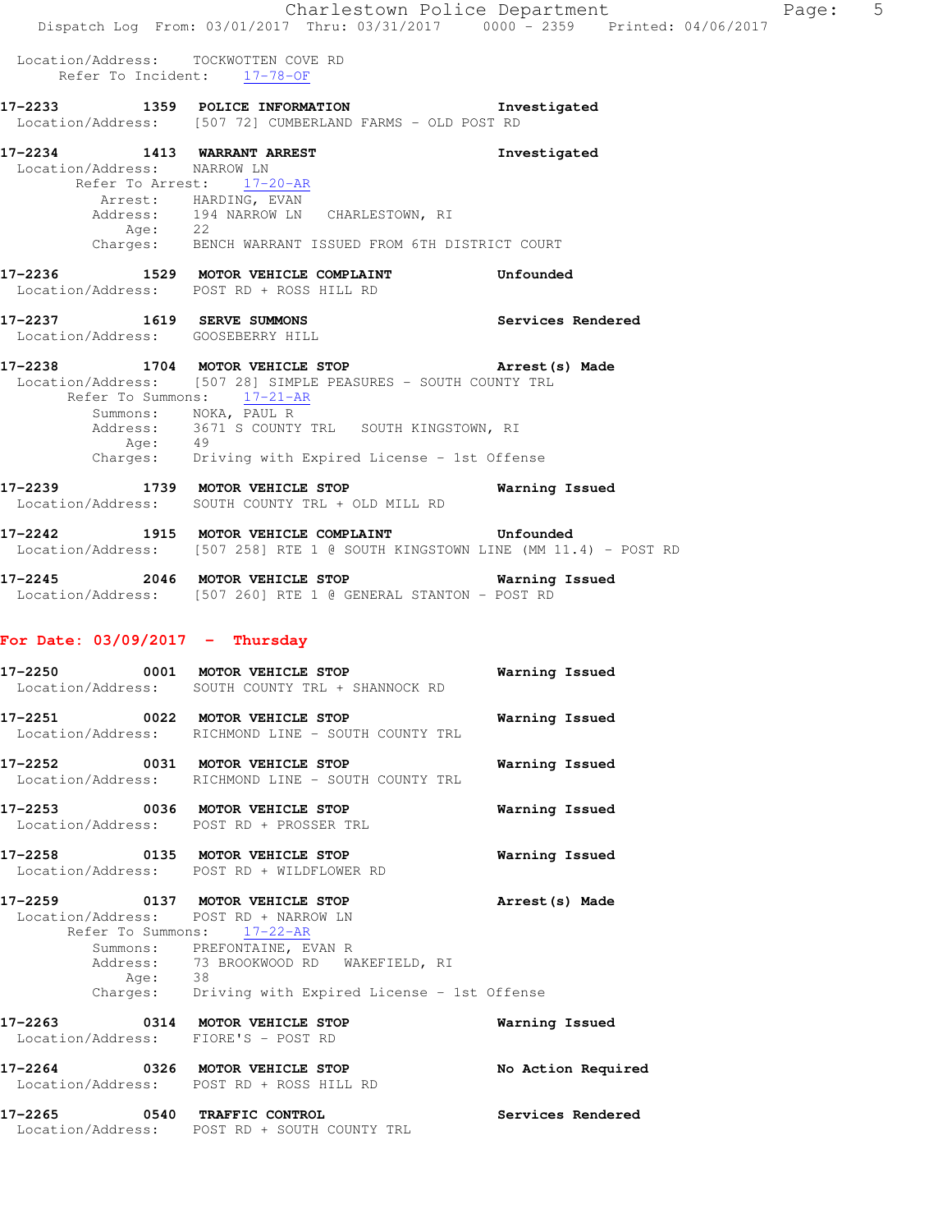Charlestown Police Department Page: 5 Dispatch Log From: 03/01/2017 Thru: 03/31/2017 0000 - 2359 Printed: 04/06/2017 Location/Address: TOCKWOTTEN COVE RD Refer To Incident: 17-78-OF **17-2233 1359 POLICE INFORMATION Investigated**  Location/Address: [507 72] CUMBERLAND FARMS - OLD POST RD **17-2234 1413 WARRANT ARREST Investigated**  Location/Address: NARROW LN Refer To Arrest: 17-20-AR Arrest: HARDING, EVAN Address: 194 NARROW LN CHARLESTOWN, RI<br>Age: 22 Age: 22 Charges: BENCH WARRANT ISSUED FROM 6TH DISTRICT COURT **17-2236 1529 MOTOR VEHICLE COMPLAINT Unfounded**  Location/Address: POST RD + ROSS HILL RD **17-2237 1619 SERVE SUMMONS Services Rendered**  Location/Address: GOOSEBERRY HILL **17-2238 1704 MOTOR VEHICLE STOP Arrest(s) Made**  Location/Address: [507 28] SIMPLE PEASURES - SOUTH COUNTY TRL Refer To Summons: 17-21-AR Summons: NOKA, PAUL R Address: 3671 S COUNTY TRL SOUTH KINGSTOWN, RI Age: 49 Charges: Driving with Expired License - 1st Offense **17-2239 1739 MOTOR VEHICLE STOP Warning Issued**  Location/Address: SOUTH COUNTY TRL + OLD MILL RD **17-2242 1915 MOTOR VEHICLE COMPLAINT Unfounded**  Location/Address: [507 258] RTE 1 @ SOUTH KINGSTOWN LINE (MM 11.4) - POST RD **17-2245 2046 MOTOR VEHICLE STOP Warning Issued**  Location/Address: [507 260] RTE 1 @ GENERAL STANTON - POST RD **For Date: 03/09/2017 - Thursday 17-2250 0001 MOTOR VEHICLE STOP Warning Issued**  Location/Address: SOUTH COUNTY TRL + SHANNOCK RD **17-2251 0022 MOTOR VEHICLE STOP Warning Issued**  Location/Address: RICHMOND LINE - SOUTH COUNTY TRL **17-2252 0031 MOTOR VEHICLE STOP Warning Issued**  Location/Address: RICHMOND LINE - SOUTH COUNTY TRL **17-2253 0036 MOTOR VEHICLE STOP Warning Issued**  Location/Address: POST RD + PROSSER TRL **17-2258 0135 MOTOR VEHICLE STOP Warning Issued**  Location/Address: POST RD + WILDFLOWER RD **17-2259 0137 MOTOR VEHICLE STOP Arrest(s) Made**  Location/Address: POST RD + NARROW LN Refer To Summons: 17-22-AR Summons: PREFONTAINE, EVAN R Address: 73 BROOKWOOD RD WAKEFIELD, RI<br>Age: 38 Age: 38 Charges: Driving with Expired License - 1st Offense **17-2263 0314 MOTOR VEHICLE STOP Warning Issued**  Location/Address: FIORE'S - POST RD **17-2264 0326 MOTOR VEHICLE STOP No Action Required**  Location/Address: POST RD + ROSS HILL RD **17-2265 0540 TRAFFIC CONTROL Services Rendered**  Location/Address: POST RD + SOUTH COUNTY TRL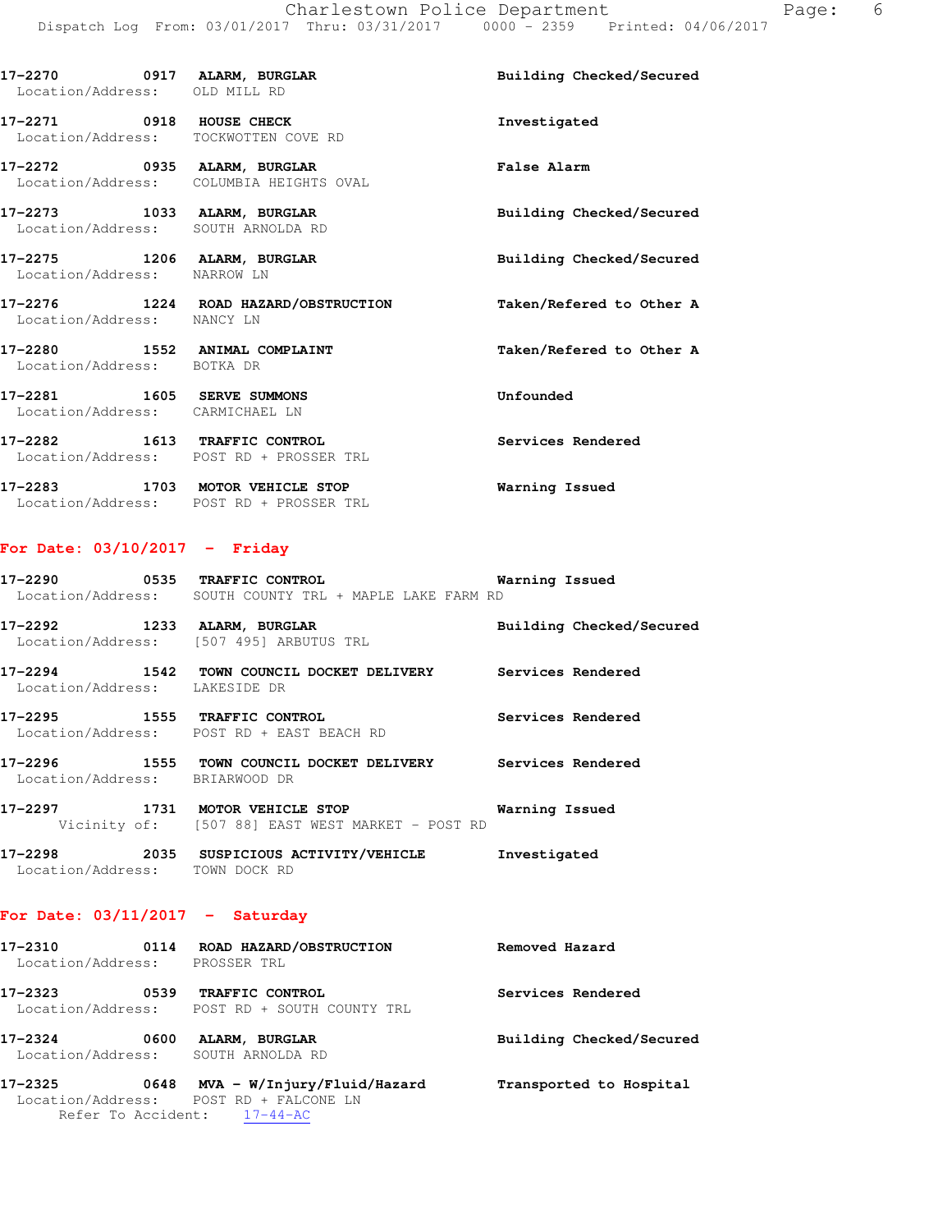| Location/Address: OLD MILL RD                                     |                                                                            | Building Checked/Secured |
|-------------------------------------------------------------------|----------------------------------------------------------------------------|--------------------------|
| 17-2271 0918 HOUSE CHECK<br>Location/Address: TOCKWOTTEN COVE RD  |                                                                            | Investigated             |
|                                                                   | 17-2272 0935 ALARM, BURGLAR<br>Location/Address: COLUMBIA HEIGHTS OVAL     | False Alarm              |
| 17-2273 1033 ALARM, BURGLAR<br>Location/Address: SOUTH ARNOLDA RD |                                                                            | Building Checked/Secured |
| 17-2275 1206 ALARM, BURGLAR<br>Location/Address: NARROW LN        |                                                                            | Building Checked/Secured |
| Location/Address: NANCY LN                                        | 17-2276 1224 ROAD HAZARD/OBSTRUCTION                                       | Taken/Refered to Other A |
| 17-2280 1552 ANIMAL COMPLAINT<br>Location/Address: BOTKA DR       |                                                                            | Taken/Refered to Other A |
| 17-2281 1605 SERVE SUMMONS<br>Location/Address: CARMICHAEL LN     |                                                                            | Unfounded                |
| 17-2282 1613 TRAFFIC CONTROL                                      | Location/Address: POST RD + PROSSER TRL                                    | Services Rendered        |
|                                                                   | 17-2283 1703 MOTOR VEHICLE STOP<br>Location/Address: POST RD + PROSSER TRL | Warning Issued           |

## **For Date: 03/10/2017 - Friday**

| 17–2290<br>Location/Address: | 0535 | <b>TRAFFIC CONTROL</b><br>SOUTH COUNTY TRL + MAPLE LAKE FARM RD     | Warning Issued           |
|------------------------------|------|---------------------------------------------------------------------|--------------------------|
| 17–2292                      | 1233 | ALARM, BURGLAR<br>Location/Address: [507 495] ARBUTUS TRL           | Building Checked/Secured |
| 17-2294<br>Location/Address: | 1542 | TOWN COUNCIL DOCKET DELIVERY<br>LAKESIDE DR                         | Services Rendered        |
| 17-2295                      | 1555 | <b>TRAFFIC CONTROL</b><br>Location/Address: POST RD + EAST BEACH RD | Services Rendered        |
| 17-2296<br>Location/Address: | 1555 | TOWN COUNCIL DOCKET DELIVERY<br>BRIARWOOD DR                        | Services Rendered        |
| 17-2297                      | 1731 | MOTOR VEHICLE STOP                                                  | Warning Issued           |

Vicinity of: [507 88] EAST WEST MARKET - POST RD

### **17-2298 2035 SUSPICIOUS ACTIVITY/VEHICLE Investigated**  Location/Address: TOWN DOCK RD

## **For Date: 03/11/2017 - Saturday**

| 17-2310<br>Location/Address: | 0114 | ROAD HAZARD/OBSTRUCTION<br>PROSSER TRL                                                                 | Removed Hazard           |
|------------------------------|------|--------------------------------------------------------------------------------------------------------|--------------------------|
| 17–2323<br>Location/Address: | 0539 | TRAFFIC CONTROL<br>POST RD + SOUTH COUNTY TRL                                                          | Services Rendered        |
| 17-2324<br>Location/Address: | 0600 | ALARM, BURGLAR<br>SOUTH ARNOLDA RD                                                                     | Building Checked/Secured |
| 17–2325                      | 0648 | $MVA - W/Injury/Fluid/Hazard$<br>Location/Address: POST RD + FALCONE LN<br>Refer To Accident: 17-44-AC | Transported to Hospital  |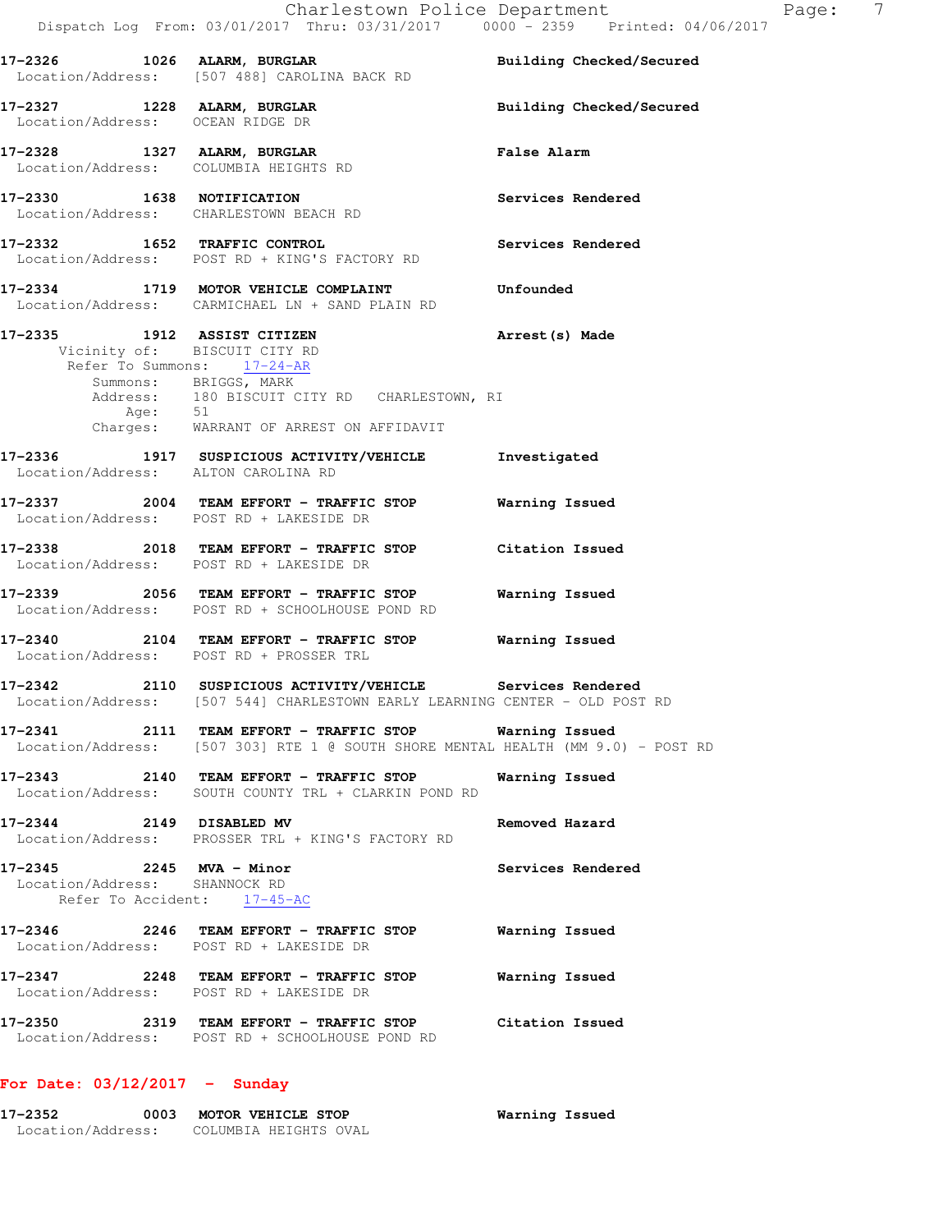| 17-2326 1026 ALARM, BURGLAR                               | Location/Address: [507 488] CAROLINA BACK RD                                                                                                              | Building Checked/Secured |
|-----------------------------------------------------------|-----------------------------------------------------------------------------------------------------------------------------------------------------------|--------------------------|
| Location/Address: OCEAN RIDGE DR                          | 17-2327 1228 ALARM, BURGLAR                                                                                                                               | Building Checked/Secured |
|                                                           | 17-2328 1327 ALARM, BURGLAR<br>Location/Address: COLUMBIA HEIGHTS RD                                                                                      | <b>False Alarm</b>       |
|                                                           | 17-2330 1638 NOTIFICATION<br>Location/Address: CHARLESTOWN BEACH RD                                                                                       | Services Rendered        |
|                                                           | 17-2332 1652 TRAFFIC CONTROL<br>Location/Address: POST RD + KING'S FACTORY RD                                                                             | Services Rendered        |
|                                                           | 17-2334 1719 MOTOR VEHICLE COMPLAINT<br>Location/Address: CARMICHAEL LN + SAND PLAIN RD                                                                   | Unfounded                |
|                                                           | 17-2335 1912 ASSIST CITIZEN<br>Vicinity of: BISCUIT CITY RD                                                                                               | Arrest (s) Made          |
|                                                           | Refer To Summons: 17-24-AR<br>Summons: BRIGGS, MARK<br>Address: 180 BISCUIT CITY RD CHARLESTOWN, RI<br>Age: 51<br>Charges: WARRANT OF ARREST ON AFFIDAVIT |                          |
|                                                           |                                                                                                                                                           |                          |
|                                                           | 17-2336 1917 SUSPICIOUS ACTIVITY/VEHICLE Investigated<br>Location/Address: ALTON CAROLINA RD                                                              |                          |
|                                                           | 17-2337 2004 TEAM EFFORT - TRAFFIC STOP Warning Issued<br>Location/Address: POST RD + LAKESIDE DR                                                         |                          |
|                                                           | 17-2338 2018 TEAM EFFORT - TRAFFIC STOP Citation Issued<br>Location/Address: POST RD + LAKESIDE DR                                                        |                          |
|                                                           | 17-2339 2056 TEAM EFFORT - TRAFFIC STOP<br>Location/Address: POST RD + SCHOOLHOUSE POND RD                                                                | Warning Issued           |
|                                                           | 17-2340  2104 TEAM EFFORT - TRAFFIC STOP Warning Issued<br>Location/Address: POST RD + PROSSER TRL                                                        |                          |
|                                                           | 17-2342 2110 SUSPICIOUS ACTIVITY/VEHICLE Services Rendered<br>Location/Address: [507 544] CHARLESTOWN EARLY LEARNING CENTER - OLD POST RD                 |                          |
|                                                           | Location/Address: [507 303] RTE 1 @ SOUTH SHORE MENTAL HEALTH (MM 9.0) - POST RD                                                                          | Warning Issued           |
|                                                           | 17-2343 2140 TEAM EFFORT - TRAFFIC STOP Warning Issued<br>Location/Address: SOUTH COUNTY TRL + CLARKIN POND RD                                            |                          |
|                                                           | 17-2344 2149 DISABLED MV<br>Location/Address: PROSSER TRL + KING'S FACTORY RD                                                                             | Removed Hazard           |
| 17-2345 2245 MVA - Minor<br>Location/Address: SHANNOCK RD | Refer To Accident: 17-45-AC                                                                                                                               | Services Rendered        |
|                                                           | Location/Address: POST RD + LAKESIDE DR                                                                                                                   |                          |
|                                                           | Location/Address: POST RD + LAKESIDE DR                                                                                                                   |                          |
|                                                           | 17-2350                2319    TEAM EFFORT - TRAFFIC STOP             Citation Issued<br>Location/Address: POST RD + SCHOOLHOUSE POND RD                  |                          |
| For Date: $03/12/2017 -$ Sunday                           |                                                                                                                                                           |                          |

**17-2352 0003 MOTOR VEHICLE STOP Warning Issued** 

Location/Address: COLUMBIA HEIGHTS OVAL

Dispatch Log From: 03/01/2017 Thru: 03/31/2017 0000 - 2359 Printed: 04/06/2017

Charlestown Police Department Fage: 7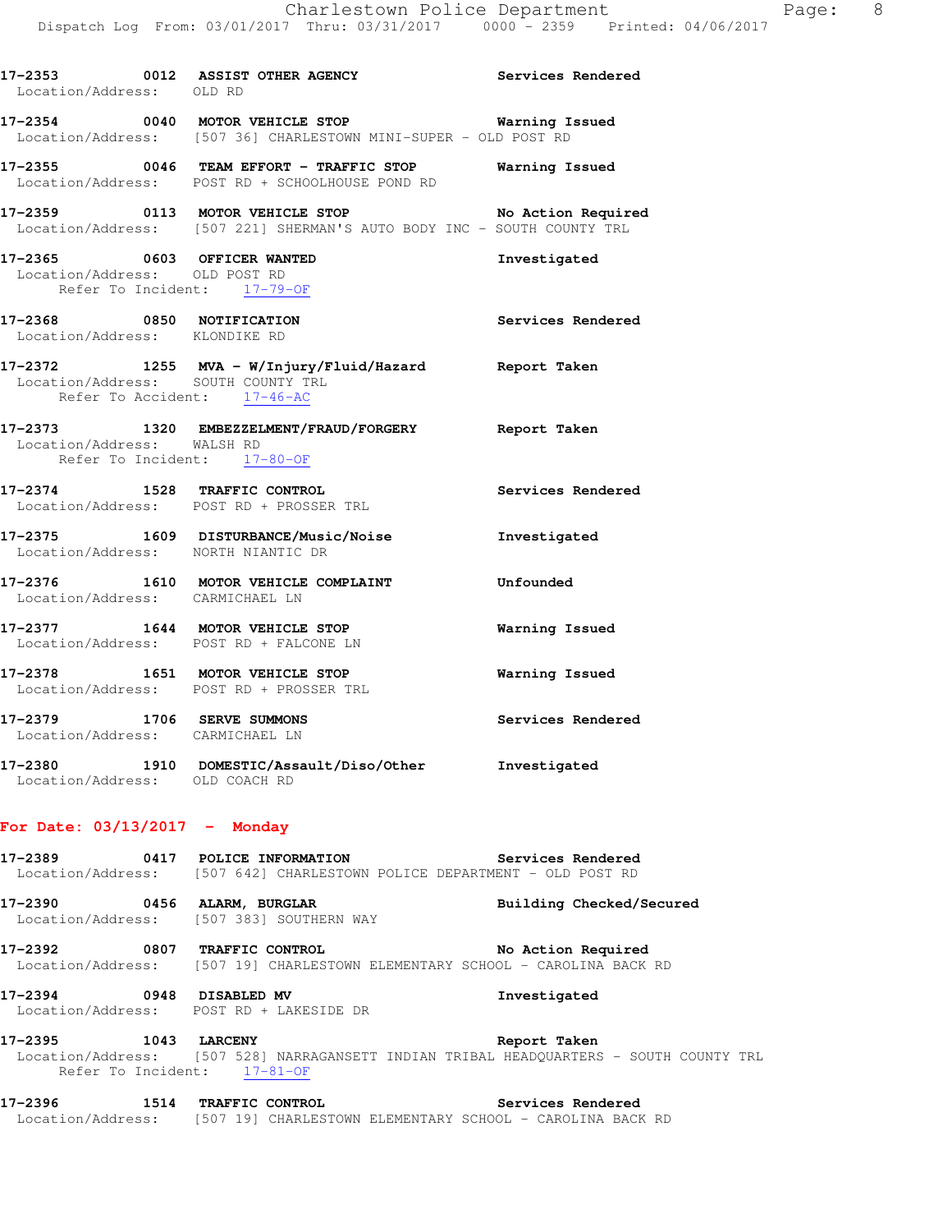| Location/Address: OLD RD                                      | 17-2353 0012 ASSIST OTHER AGENCY Services Rendered                                                                           |                   |
|---------------------------------------------------------------|------------------------------------------------------------------------------------------------------------------------------|-------------------|
| 17–2354                                                       | 0040 MOTOR VEHICLE STOP<br>Location/Address: [507 36] CHARLESTOWN MINI-SUPER - OLD POST RD                                   | Warning Issued    |
|                                                               | 17-2355 0046 TEAM EFFORT - TRAFFIC STOP Warning Issued<br>Location/Address: POST RD + SCHOOLHOUSE POND RD                    |                   |
|                                                               | 17-2359 0113 MOTOR VEHICLE STOP No Action Required<br>Location/Address: [507 221] SHERMAN'S AUTO BODY INC - SOUTH COUNTY TRL |                   |
| 17-2365 0603 OFFICER WANTED<br>Location/Address: OLD POST RD  | Refer To Incident: 17-79-OF                                                                                                  | Investigated      |
| 17-2368 0850 NOTIFICATION<br>Location/Address: KLONDIKE RD    |                                                                                                                              | Services Rendered |
| Refer To Accident: 17-46-AC                                   | 17-2372 1255 MVA - W/Injury/Fluid/Hazard Report Taken<br>Location/Address: SOUTH COUNTY TRL                                  |                   |
| Location/Address: WALSH RD                                    | 17-2373 1320 EMBEZZELMENT/FRAUD/FORGERY Report Taken<br>Refer To Incident: 17-80-OF                                          |                   |
|                                                               | 17-2374 1528 TRAFFIC CONTROL<br>Location/Address: POST RD + PROSSER TRL                                                      | Services Rendered |
|                                                               | 17-2375 1609 DISTURBANCE/Music/Noise 1nvestigated<br>Location/Address: NORTH NIANTIC DR                                      |                   |
| Location/Address: CARMICHAEL LN                               | 17-2376 1610 MOTOR VEHICLE COMPLAINT                                                                                         | Unfounded         |
|                                                               | 17-2377 1644 MOTOR VEHICLE STOP<br>Location/Address: POST RD + FALCONE LN                                                    | Warning Issued    |
|                                                               | 17-2378 1651 MOTOR VEHICLE STOP<br>Location/Address: POST RD + PROSSER TRL                                                   | Warning Issued    |
| 17-2379 1706 SERVE SUMMONS<br>Location/Address: CARMICHAEL LN |                                                                                                                              | Services Rendered |
| Location/Address: OLD COACH RD                                | 17-2380 1910 DOMESTIC/Assault/Diso/Other Investigated                                                                        |                   |
| For Date: $03/13/2017$ - Monday                               |                                                                                                                              |                   |

**17-2389 0417 POLICE INFORMATION Services Rendered**  Location/Address: [507 642] CHARLESTOWN POLICE DEPARTMENT - OLD POST RD

**17-2390 0456 ALARM, BURGLAR Building Checked/Secured**  Location/Address: [507 383] SOUTHERN WAY

**17-2392 0807 TRAFFIC CONTROL No Action Required**  Location/Address: [507 19] CHARLESTOWN ELEMENTARY SCHOOL - CAROLINA BACK RD

**17-2394 0948 DISABLED MV Investigated**  Location/Address: POST RD + LAKESIDE DR

**17-2395 1043 LARCENY Report Taken**  Location/Address: [507 528] NARRAGANSETT INDIAN TRIBAL HEADQUARTERS - SOUTH COUNTY TRL Refer To Incident: 17-81-OF

**17-2396 1514 TRAFFIC CONTROL Services Rendered**  Location/Address: [507 19] CHARLESTOWN ELEMENTARY SCHOOL - CAROLINA BACK RD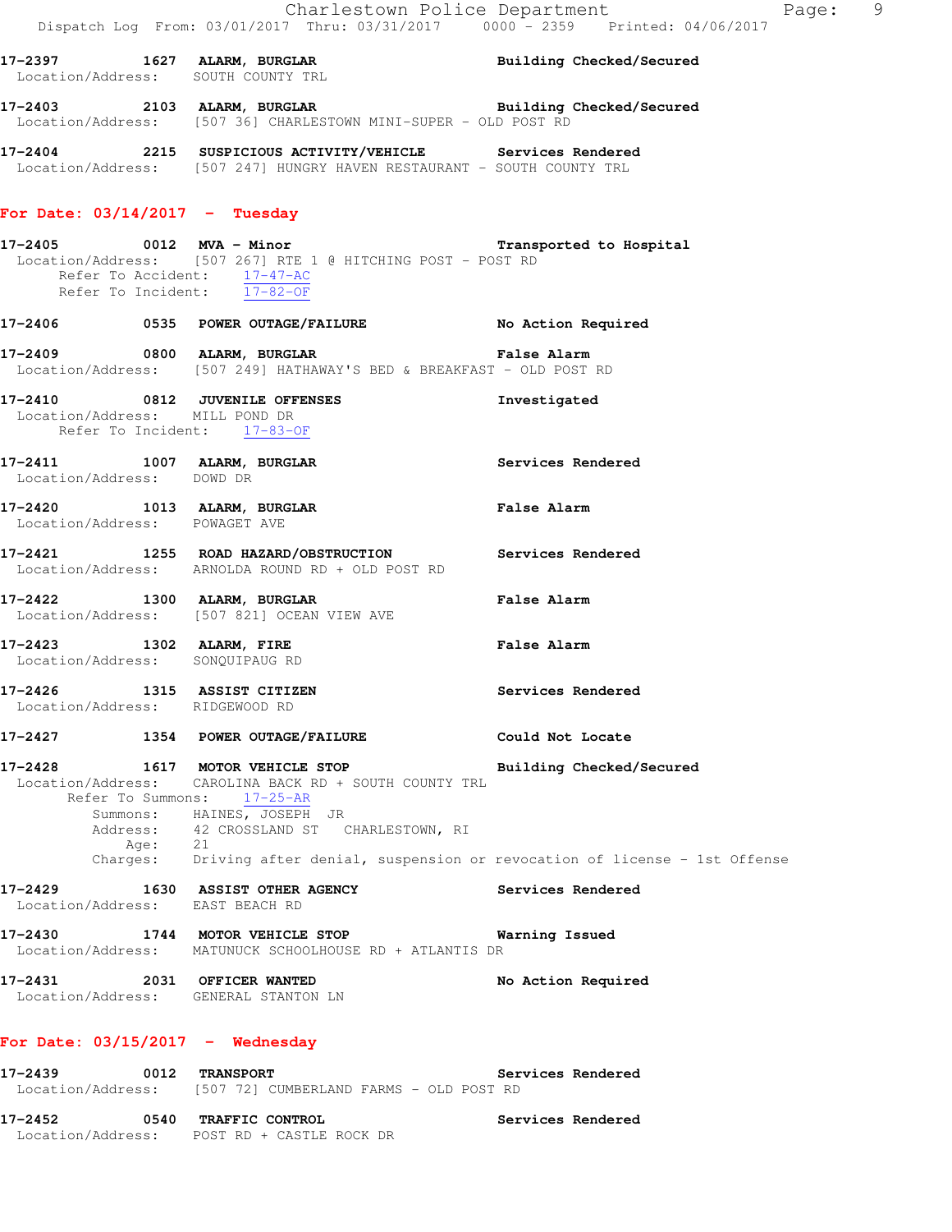|         |                               |                                                                                                                                                                        | Charlestown Police Department<br>Page: 9<br>Dispatch Log From: 03/01/2017 Thru: 03/31/2017 0000 - 2359 Printed: 04/06/2017 |  |
|---------|-------------------------------|------------------------------------------------------------------------------------------------------------------------------------------------------------------------|----------------------------------------------------------------------------------------------------------------------------|--|
|         |                               | 17-2397 1627 ALARM, BURGLAR 1997 Building Checked/Secured<br>Location/Address: SOUTH COUNTY TRL                                                                        |                                                                                                                            |  |
|         |                               | 17-2403 2103 ALARM, BURGLAR BRIDGE Building Checked/Secured<br>Location/Address: [507 36] CHARLESTOWN MINI-SUPER - OLD POST RD                                         |                                                                                                                            |  |
|         |                               | 17-2404 2215 SUSPICIOUS ACTIVITY/VEHICLE Services Rendered<br>Location/Address: [507 247] HUNGRY HAVEN RESTAURANT - SOUTH COUNTY TRL                                   |                                                                                                                            |  |
|         |                               | For Date: $03/14/2017$ - Tuesday                                                                                                                                       |                                                                                                                            |  |
|         |                               | 17-2405 0012 MVA - Minor<br>Location/Address: [507 267] RTE 1 @ HITCHING POST - POST RD<br>Refer To Accident: 17-47-AC<br>Refer To Incident: 17-82-OF                  |                                                                                                                            |  |
|         |                               |                                                                                                                                                                        |                                                                                                                            |  |
|         |                               | 17-2409 6800 ALARM, BURGLAR NE SALES BALARM PARA BARA<br>Location/Address: [507 249] HATHAWAY'S BED & BREAKFAST - OLD POST RD                                          |                                                                                                                            |  |
|         |                               | 17-2410 0812 JUVENILE OFFENSES<br>Location/Address: MILL POND DR<br>Refer To Incident: 17-83-OF                                                                        | Investigated                                                                                                               |  |
|         | Location/Address: DOWD DR     | 17-2411 1007 ALARM, BURGLAR                                                                                                                                            | Services Rendered                                                                                                          |  |
|         | Location/Address: POWAGET AVE | 17-2420 1013 ALARM, BURGLAR                                                                                                                                            | <b>False Alarm</b>                                                                                                         |  |
|         |                               | 17-2421 1255 ROAD HAZARD/OBSTRUCTION Services Rendered<br>Location/Address: ARNOLDA ROUND RD + OLD POST RD                                                             |                                                                                                                            |  |
|         |                               | 17-2422 1300 ALARM, BURGLAR<br>Location/Address: [507 821] OCEAN VIEW AVE                                                                                              | <b>False Alarm</b>                                                                                                         |  |
|         |                               | 17-2423 1302 ALARM, FIRE<br>Location/Address: SONQUIPAUG RD                                                                                                            | <b>False Alarm</b>                                                                                                         |  |
|         |                               | 17-2426 1315 ASSIST CITIZEN<br>Location/Address: RIDGEWOOD RD                                                                                                          | Services Rendered                                                                                                          |  |
| 17–2427 |                               | 1354 POWER OUTAGE/FAILURE                                                                                                                                              | Could Not Locate                                                                                                           |  |
| 17-2428 | Refer To Summons:<br>Age: 21  | 1617 MOTOR VEHICLE STOP<br>Location/Address: CAROLINA BACK RD + SOUTH COUNTY TRL<br>17-25-AR<br>Summons: HAINES, JOSEPH JR<br>Address: 42 CROSSLAND ST CHARLESTOWN, RI | Building Checked/Secured<br>Charges: Driving after denial, suspension or revocation of license - 1st Offense               |  |
|         |                               | 17-2429 1630 ASSIST OTHER AGENCY<br>Location/Address: EAST BEACH RD                                                                                                    | Services Rendered                                                                                                          |  |
|         |                               | 17-2430 1744 MOTOR VEHICLE STOP<br>Location/Address: MATUNUCK SCHOOLHOUSE RD + ATLANTIS DR                                                                             | Warning Issued                                                                                                             |  |
|         |                               | 17-2431 2031 OFFICER WANTED<br>Location/Address: GENERAL STANTON LN                                                                                                    | No Action Required                                                                                                         |  |
|         |                               | For Date: $03/15/2017$ - Wednesday                                                                                                                                     |                                                                                                                            |  |
| 17-2439 |                               | 0012 TRANSPORT<br>Location/Address: [507 72] CUMBERLAND FARMS - OLD POST RD                                                                                            | Services Rendered                                                                                                          |  |

**17-2452 0540 TRAFFIC CONTROL Services Rendered**  Location/Address: POST RD + CASTLE ROCK DR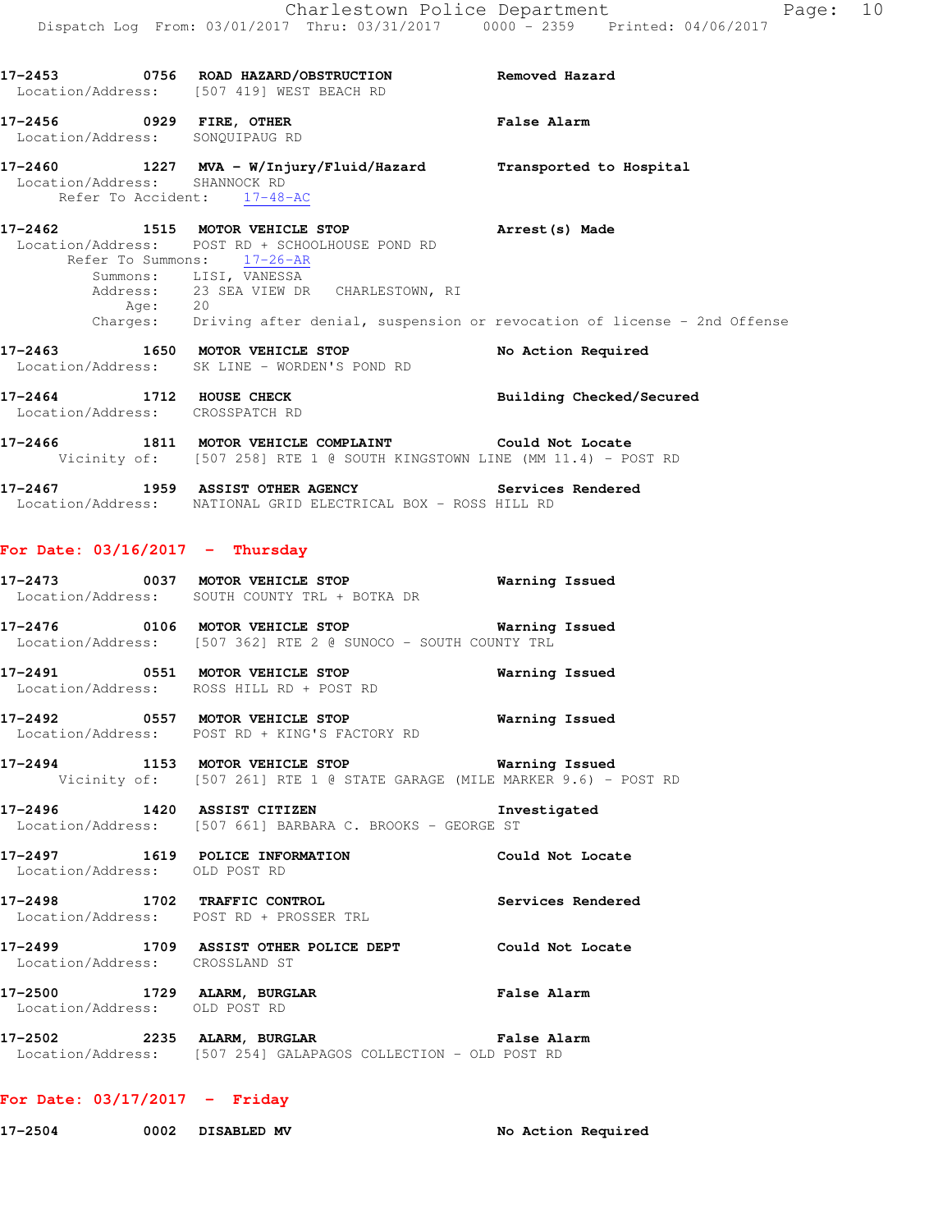|                                                              | 17-2453 0756 ROAD HAZARD/OBSTRUCTION Removed Hazard<br>Location/Address: [507 419] WEST BEACH RD                                                                                                                                                                                                             |                    |
|--------------------------------------------------------------|--------------------------------------------------------------------------------------------------------------------------------------------------------------------------------------------------------------------------------------------------------------------------------------------------------------|--------------------|
| Location/Address: SONQUIPAUG RD                              | 17-2456 0929 FIRE, OTHER False Alarm<br>Location/Address: SONOUIPAUG RD                                                                                                                                                                                                                                      |                    |
| Location/Address: SHANNOCK RD                                | 17-2460 1227 MVA - W/Injury/Fluid/Hazard Transported to Hospital<br>Refer To Accident: 17-48-AC                                                                                                                                                                                                              |                    |
|                                                              | 17-2462 1515 MOTOR VEHICLE STOP 17-2462 Arrest (s) Made<br>Location/Address: POST RD + SCHOOLHOUSE POND RD<br>Refer To Summons: 17-26-AR<br>Summons: LISI, VANESSA<br>Address: 23 SEA VIEW DR CHARLESTOWN, RI<br>Age: 20<br>Charges: Driving after denial, suspension or revocation of license - 2nd Offense |                    |
|                                                              | 17-2463 1650 MOTOR VEHICLE STOP<br>Location/Address: SK LINE - WORDEN'S POND RD                                                                                                                                                                                                                              | No Action Required |
|                                                              | 17-2464 1712 HOUSE CHECK Building Checked/Secured Location/Address: CROSSPATCH RD                                                                                                                                                                                                                            |                    |
|                                                              | 17-2466 1811 MOTOR VEHICLE COMPLAINT Could Not Locate<br>Vicinity of: [507 258] RTE 1 @ SOUTH KINGSTOWN LINE (MM 11.4) - POST RD                                                                                                                                                                             |                    |
|                                                              | 17-2467 1959 ASSIST OTHER AGENCY Services Rendered Location/Address: NATIONAL GRID ELECTRICAL BOX - ROSS HILL RD                                                                                                                                                                                             |                    |
| For Date: $03/16/2017$ - Thursday                            |                                                                                                                                                                                                                                                                                                              |                    |
|                                                              | 17-2473 0037 MOTOR VEHICLE STOP 6 Warning Issued<br>Location/Address: SOUTH COUNTY TRL + BOTKA DR                                                                                                                                                                                                            |                    |
|                                                              | Location/Address: [507 362] RTE 2 @ SUNOCO - SOUTH COUNTY TRL                                                                                                                                                                                                                                                |                    |
|                                                              | Location/Address: ROSS HILL RD + POST RD                                                                                                                                                                                                                                                                     |                    |
|                                                              | 17-2492 0557 MOTOR VEHICLE STOP 6 Warning Issued<br>Location/Address: POST RD + KING'S FACTORY RD                                                                                                                                                                                                            |                    |
| $17 - 2494$                                                  | 1153 MOTOR VEHICLE STOP <b>Warning Issued</b><br>Vicinity of: [507 261] RTE 1 @ STATE GARAGE (MILE MARKER 9.6) - POST RD                                                                                                                                                                                     |                    |
| 17-2496 1420 ASSIST CITIZEN                                  | Location/Address: [507 661] BARBARA C. BROOKS - GEORGE ST                                                                                                                                                                                                                                                    | Investigated       |
| Location/Address: OLD POST RD                                | 17-2497 1619 POLICE INFORMATION                                                                                                                                                                                                                                                                              | Could Not Locate   |
|                                                              | 17-2498 1702 TRAFFIC CONTROL<br>Location/Address: POST RD + PROSSER TRL                                                                                                                                                                                                                                      | Services Rendered  |
| Location/Address: CROSSLAND ST                               | 17-2499 1709 ASSIST OTHER POLICE DEPT Could Not Locate                                                                                                                                                                                                                                                       |                    |
| 17-2500 1729 ALARM, BURGLAR<br>Location/Address: OLD POST RD |                                                                                                                                                                                                                                                                                                              | False Alarm        |
| 17-2502 2235 ALARM, BURGLAR                                  | Location/Address: [507 254] GALAPAGOS COLLECTION - OLD POST RD                                                                                                                                                                                                                                               | False Alarm        |

# **For Date: 03/17/2017 - Friday**

17-2504 0002 DISABLED MV **No Action Required**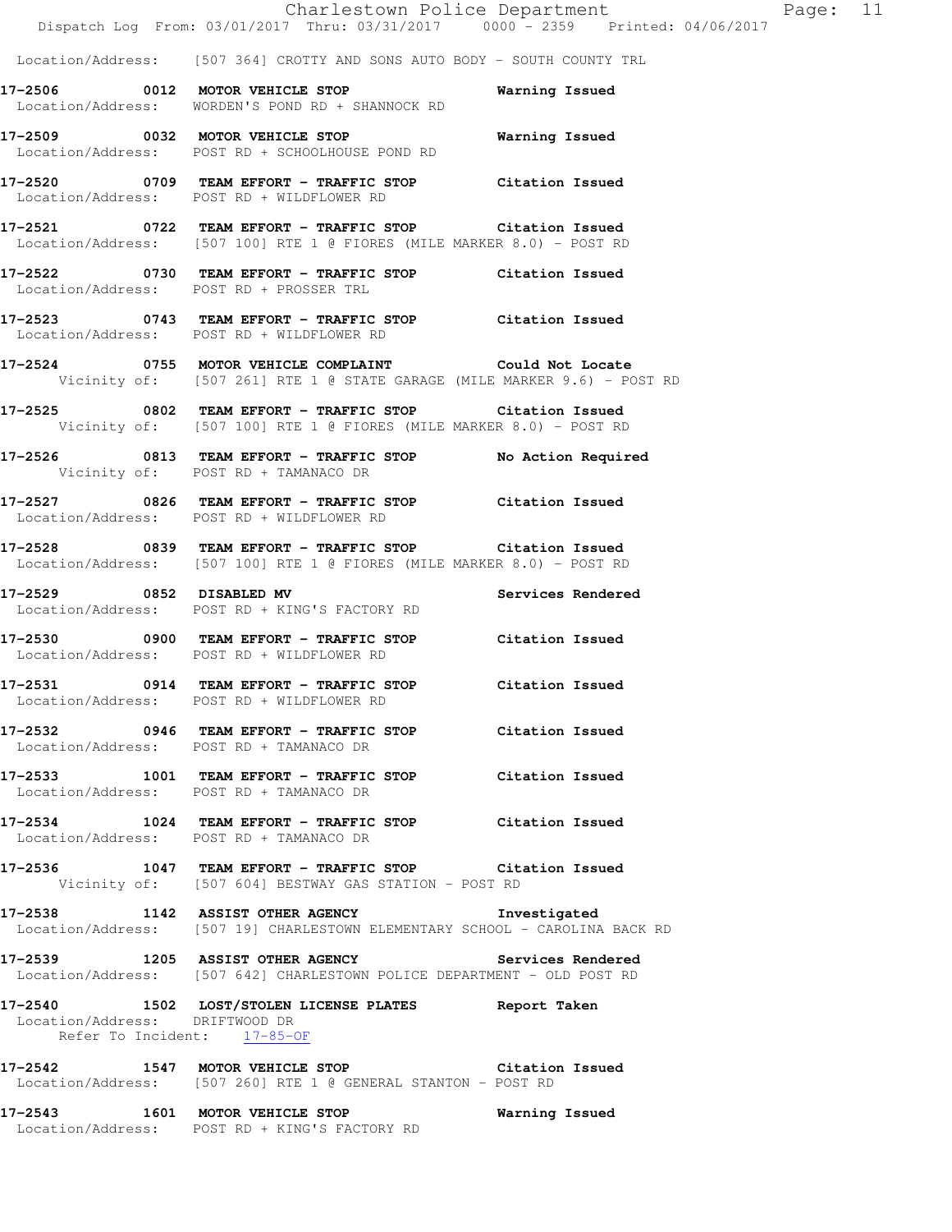|                                |                                                                                                                                   | Charlestown Police Department |                | Dispatch Log From: 03/01/2017 Thru: 03/31/2017 0000 - 2359 Printed: 04/06/2017 |
|--------------------------------|-----------------------------------------------------------------------------------------------------------------------------------|-------------------------------|----------------|--------------------------------------------------------------------------------|
|                                | Location/Address: [507 364] CROTTY AND SONS AUTO BODY - SOUTH COUNTY TRL                                                          |                               |                |                                                                                |
|                                | 17-2506 0012 MOTOR VEHICLE STOP Warning Issued<br>Location/Address: WORDEN'S POND RD + SHANNOCK RD                                |                               |                |                                                                                |
|                                | 17-2509 0032 MOTOR VEHICLE STOP<br>Location/Address: POST RD + SCHOOLHOUSE POND RD                                                |                               | Warning Issued |                                                                                |
|                                | 17-2520 0709 TEAM EFFORT - TRAFFIC STOP Citation Issued<br>Location/Address: POST RD + WILDFLOWER RD                              |                               |                |                                                                                |
|                                | 17-2521 0722 TEAM EFFORT - TRAFFIC STOP Citation Issued<br>Location/Address: [507 100] RTE 1 @ FIORES (MILE MARKER 8.0) - POST RD |                               |                |                                                                                |
|                                | 17-2522 0730 TEAM EFFORT - TRAFFIC STOP Citation Issued<br>Location/Address: POST RD + PROSSER TRL                                |                               |                |                                                                                |
|                                | 17-2523 0743 TEAM EFFORT - TRAFFIC STOP Citation Issued<br>Location/Address: POST RD + WILDFLOWER RD                              |                               |                |                                                                                |
|                                | 17-2524 0755 MOTOR VEHICLE COMPLAINT Could Not Locate<br>Vicinity of: [507 261] RTE 1 @ STATE GARAGE (MILE MARKER 9.6) - POST RD  |                               |                |                                                                                |
|                                | 17-2525 0802 TEAM EFFORT - TRAFFIC STOP Citation Issued<br>Vicinity of: [507 100] RTE 1 @ FIORES (MILE MARKER 8.0) - POST RD      |                               |                |                                                                                |
|                                | 17-2526 0813 TEAM EFFORT - TRAFFIC STOP No Action Required<br>Vicinity of: POST RD + TAMANACO DR                                  |                               |                |                                                                                |
|                                | -<br>17-2527 1826 TEAM EFFORT - TRAFFIC STOP Citation Issued<br>Location/Address: POST RD + WILDFLOWER RD                         |                               |                |                                                                                |
|                                | 17-2528 0839 TEAM EFFORT - TRAFFIC STOP Citation Issued<br>Location/Address: [507 100] RTE 1 @ FIORES (MILE MARKER 8.0) - POST RD |                               |                |                                                                                |
|                                | -<br>17-2529 1852 DISABLED MV 1988 Services Rendered<br>Location/Address: POST RD + KING'S FACTORY RD                             |                               |                |                                                                                |
|                                | 17-2530 0900 TEAM EFFORT - TRAFFIC STOP Citation Issued<br>Location/Address: POST RD + WILDFLOWER RD                              |                               |                |                                                                                |
|                                | 17-2531 0914 TEAM EFFORT - TRAFFIC STOP Citation Issued<br>Location/Address: POST RD + WILDFLOWER RD                              |                               |                |                                                                                |
|                                | 17-2532 0946 TEAM EFFORT - TRAFFIC STOP Citation Issued<br>Location/Address: POST RD + TAMANACO DR                                |                               |                |                                                                                |
|                                | 17-2533 1001 TEAM EFFORT - TRAFFIC STOP Citation Issued<br>Location/Address: POST RD + TAMANACO DR                                |                               |                |                                                                                |
|                                | 17-2534 1024 TEAM EFFORT - TRAFFIC STOP Citation Issued<br>Location/Address: POST RD + TAMANACO DR                                |                               |                |                                                                                |
|                                | 17-2536 1047 TEAM EFFORT - TRAFFIC STOP Citation Issued<br>Vicinity of: [507 604] BESTWAY GAS STATION - POST RD                   |                               |                |                                                                                |
|                                | 17-2538 1142 ASSIST OTHER AGENCY Investigated<br>Location/Address: [507 19] CHARLESTOWN ELEMENTARY SCHOOL - CAROLINA BACK RD      |                               |                |                                                                                |
|                                | 17-2539 1205 ASSIST OTHER AGENCY Services Rendered<br>Location/Address: [507 642] CHARLESTOWN POLICE DEPARTMENT - OLD POST RD     |                               |                |                                                                                |
| Location/Address: DRIFTWOOD DR | 17-2540 1502 LOST/STOLEN LICENSE PLATES Report Taken<br>Refer To Incident: 17-85-OF                                               |                               |                |                                                                                |
|                                | 17-2542 1547 MOTOR VEHICLE STOP Citation Issued<br>Location/Address: [507 260] RTE 1 @ GENERAL STANTON - POST RD                  |                               |                |                                                                                |

**17-2543 1601 MOTOR VEHICLE STOP Warning Issued**  Location/Address: POST RD + KING'S FACTORY RD

 $Page: 11$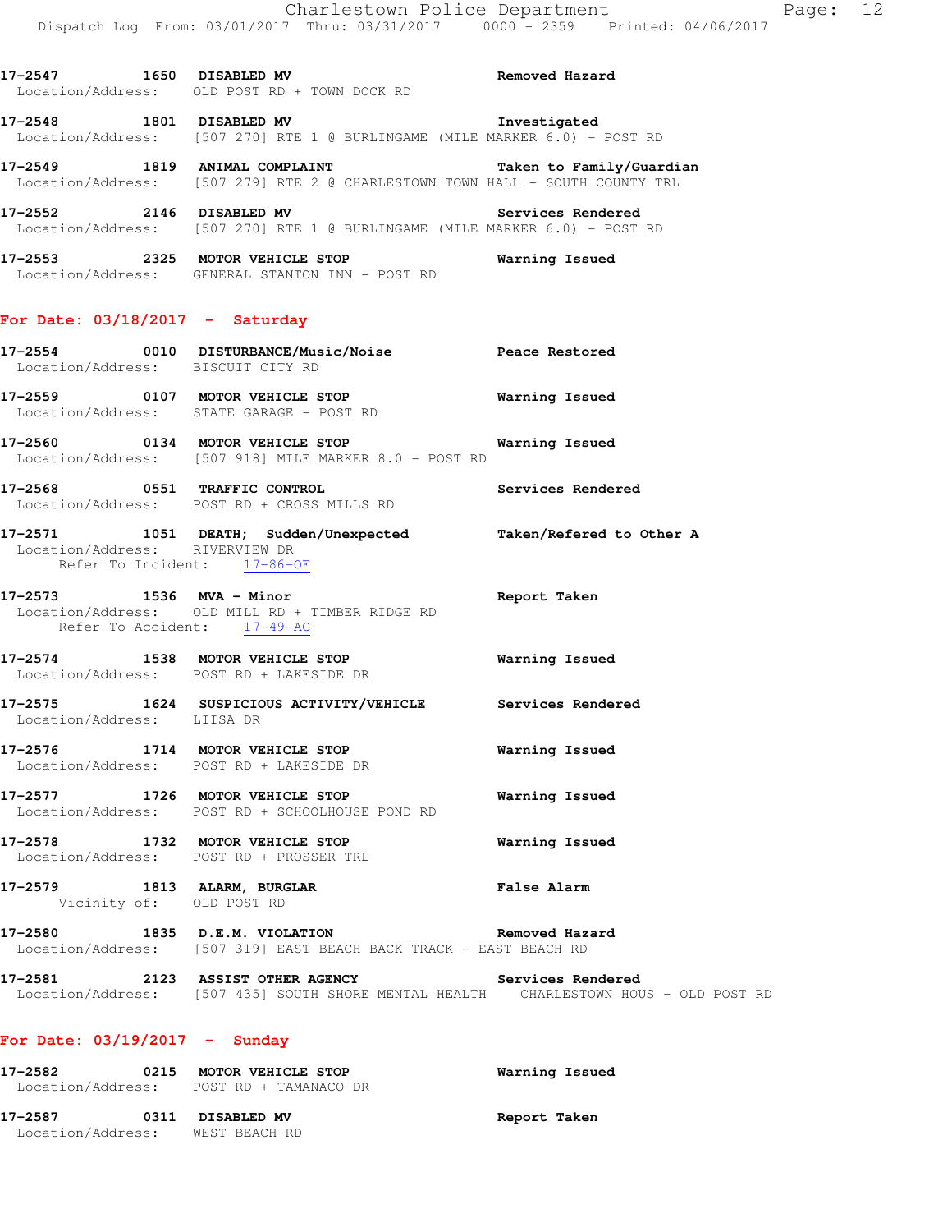**17-2547 1650 DISABLED MV Removed Hazard**  Location/Address: OLD POST RD + TOWN DOCK RD

**17-2548 1801 DISABLED MV Investigated**  Location/Address: [507 270] RTE 1 @ BURLINGAME (MILE MARKER 6.0) - POST RD

**17-2549 1819 ANIMAL COMPLAINT Taken to Family/Guardian**  Location/Address: [507 279] RTE 2 @ CHARLESTOWN TOWN HALL - SOUTH COUNTY TRL

**17-2552 2146 DISABLED MV Services Rendered**  Location/Address: [507 270] RTE 1 @ BURLINGAME (MILE MARKER 6.0) - POST RD

**17-2553 2325 MOTOR VEHICLE STOP Warning Issued**  Location/Address: GENERAL STANTON INN - POST RD

# **For Date: 03/18/2017 - Saturday**

- **17-2554 0010 DISTURBANCE/Music/Noise Peace Restored**  Location/Address: BISCUIT CITY RD **17-2559 0107 MOTOR VEHICLE STOP Warning Issued**  Location/Address: STATE GARAGE - POST RD
- **17-2560 0134 MOTOR VEHICLE STOP Warning Issued**  Location/Address: [507 918] MILE MARKER 8.0 - POST RD
- **17-2568 0551 TRAFFIC CONTROL Services Rendered**  Location/Address: POST RD + CROSS MILLS RD
- **17-2571 1051 DEATH; Sudden/Unexpected Taken/Refered to Other A**  Location/Address: RIVERVIEW DR Refer To Incident: 17-86-OF
- **17-2573 1536 MVA Minor Report Taken**  Location/Address: OLD MILL RD + TIMBER RIDGE RD Refer To Accident: 17-49-AC
- **17-2574 1538 MOTOR VEHICLE STOP Warning Issued**  Location/Address: POST RD + LAKESIDE DR
- **17-2575 1624 SUSPICIOUS ACTIVITY/VEHICLE Services Rendered**  Location/Address: LIISA DR
- **17-2576 1714 MOTOR VEHICLE STOP Warning Issued**  Location/Address: POST RD + LAKESIDE DR
- **17-2577 1726 MOTOR VEHICLE STOP Warning Issued**  Location/Address: POST RD + SCHOOLHOUSE POND RD
- **17-2578 1732 MOTOR VEHICLE STOP Warning Issued**  Location/Address: POST RD + PROSSER TRL
- **17-2579 1813 ALARM, BURGLAR False Alarm**  Vicinity of: OLD POST RD
- **17-2580 1835 D.E.M. VIOLATION Removed Hazard**  Location/Address: [507 319] EAST BEACH BACK TRACK - EAST BEACH RD
- **17-2581 2123 ASSIST OTHER AGENCY Services Rendered**  Location/Address: [507 435] SOUTH SHORE MENTAL HEALTH CHARLESTOWN HOUS - OLD POST RD

# **For Date: 03/19/2017 - Sunday**

| 17–2582                      | 0215 | <b>MOTOR VEHICLE STOP</b><br>Location/Address: POST RD + TAMANACO DR | Warning Issued |  |
|------------------------------|------|----------------------------------------------------------------------|----------------|--|
| 17–2587<br>Location/Address: | 0311 | <b>DISABLED MV</b><br>WEST BEACH RD                                  | Report Taken   |  |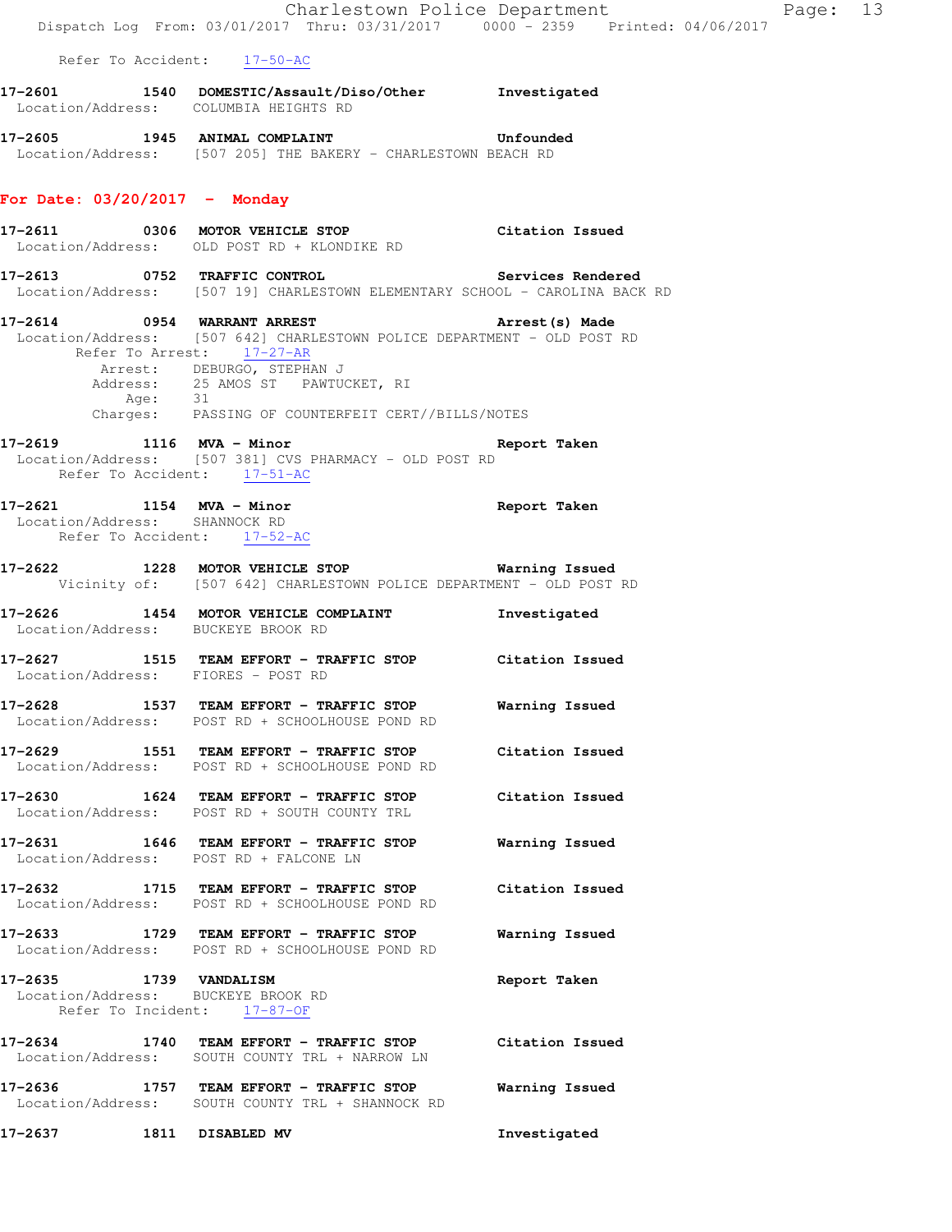|                                                                                             |                                                                                                                                                                                                                                           | Charlestown Police Department                                                  | Page: 13 |  |
|---------------------------------------------------------------------------------------------|-------------------------------------------------------------------------------------------------------------------------------------------------------------------------------------------------------------------------------------------|--------------------------------------------------------------------------------|----------|--|
|                                                                                             |                                                                                                                                                                                                                                           | Dispatch Log From: 03/01/2017 Thru: 03/31/2017 0000 - 2359 Printed: 04/06/2017 |          |  |
| Refer To Accident: 17-50-AC                                                                 |                                                                                                                                                                                                                                           |                                                                                |          |  |
| Location/Address: COLUMBIA HEIGHTS RD                                                       | 17-2601 1540 DOMESTIC/Assault/Diso/Other Investigated                                                                                                                                                                                     |                                                                                |          |  |
|                                                                                             | 17-2605 1945 ANIMAL COMPLAINT COMPRESSES Unfounded<br>Location/Address: [507 205] THE BAKERY - CHARLESTOWN BEACH RD                                                                                                                       |                                                                                |          |  |
| For Date: $03/20/2017$ - Monday                                                             |                                                                                                                                                                                                                                           |                                                                                |          |  |
|                                                                                             | 17-2611 0306 MOTOR VEHICLE STOP Citation Issued<br>Location/Address: OLD POST RD + KLONDIKE RD                                                                                                                                            |                                                                                |          |  |
|                                                                                             | 17-2613 0752 TRAFFIC CONTROL 2000 Services Rendered<br>Location/Address: [507 19] CHARLESTOWN ELEMENTARY SCHOOL - CAROLINA BACK RD                                                                                                        |                                                                                |          |  |
| Refer To Arrest: 17-27-AR                                                                   | 17-2614 0954 WARRANT ARREST<br>Location/Address: [507 642] CHARLESTOWN POLICE DEPARTMENT - OLD POST RD<br>Arrest: DEBURGO, STEPHAN J<br>Address: 25 AMOS ST PAWTUCKET, RI<br>Age: 31<br>Charges: PASSING OF COUNTERFEIT CERT//BILLS/NOTES | Arrest (s) Made                                                                |          |  |
| Refer To Accident: 17-51-AC                                                                 | 17-2619 1116 MVA - Minor 1116 Avenue 2010<br>Location/Address: [507 381] CVS PHARMACY - OLD POST RD                                                                                                                                       |                                                                                |          |  |
| Refer To Accident: 17-52-AC                                                                 | 17-2621 1154 MVA - Minor<br>Location/Address: SHANNOCK RD                                                                                                                                                                                 | Report Taken                                                                   |          |  |
|                                                                                             | 17-2622 1228 MOTOR VEHICLE STOP 6 Warning Issued<br>Vicinity of: [507 642] CHARLESTOWN POLICE DEPARTMENT - OLD POST RD                                                                                                                    |                                                                                |          |  |
| Location/Address: BUCKEYE BROOK RD                                                          | 17-2626 1454 MOTOR VEHICLE COMPLAINT                                                                                                                                                                                                      | Investigated                                                                   |          |  |
| Location/Address: FIORES - POST RD                                                          | 17-2627 1515 TEAM EFFORT - TRAFFIC STOP Citation Issued                                                                                                                                                                                   |                                                                                |          |  |
| 17-2628                                                                                     | 1537 TEAM EFFORT - TRAFFIC STOP<br>Location/Address: POST RD + SCHOOLHOUSE POND RD                                                                                                                                                        | Warning Issued                                                                 |          |  |
|                                                                                             | 17-2629 1551 TEAM EFFORT - TRAFFIC STOP Citation Issued<br>Location/Address: POST RD + SCHOOLHOUSE POND RD                                                                                                                                |                                                                                |          |  |
|                                                                                             | 17-2630 1624 TEAM EFFORT - TRAFFIC STOP Citation Issued<br>Location/Address: POST RD + SOUTH COUNTY TRL                                                                                                                                   |                                                                                |          |  |
| Location/Address: POST RD + FALCONE LN                                                      | 17-2631 1646 TEAM EFFORT - TRAFFIC STOP                                                                                                                                                                                                   | Warning Issued                                                                 |          |  |
|                                                                                             | 17-2632 1715 TEAM EFFORT - TRAFFIC STOP Citation Issued<br>Location/Address: POST RD + SCHOOLHOUSE POND RD                                                                                                                                |                                                                                |          |  |
|                                                                                             | 17-2633 1729 TEAM EFFORT - TRAFFIC STOP<br>Location/Address: POST RD + SCHOOLHOUSE POND RD                                                                                                                                                | Warning Issued                                                                 |          |  |
| 17-2635 1739 VANDALISM<br>Location/Address: BUCKEYE BROOK RD<br>Refer To Incident: 17-87-OF |                                                                                                                                                                                                                                           | Report Taken                                                                   |          |  |
|                                                                                             | 17-2634 1740 TEAM EFFORT - TRAFFIC STOP Citation Issued<br>Location/Address: SOUTH COUNTY TRL + NARROW LN                                                                                                                                 |                                                                                |          |  |
|                                                                                             | 17-2636 1757 TEAM EFFORT - TRAFFIC STOP<br>Location/Address: SOUTH COUNTY TRL + SHANNOCK RD                                                                                                                                               | Warning Issued                                                                 |          |  |
| 1811 DISABLED MV<br>17-2637                                                                 |                                                                                                                                                                                                                                           | Investigated                                                                   |          |  |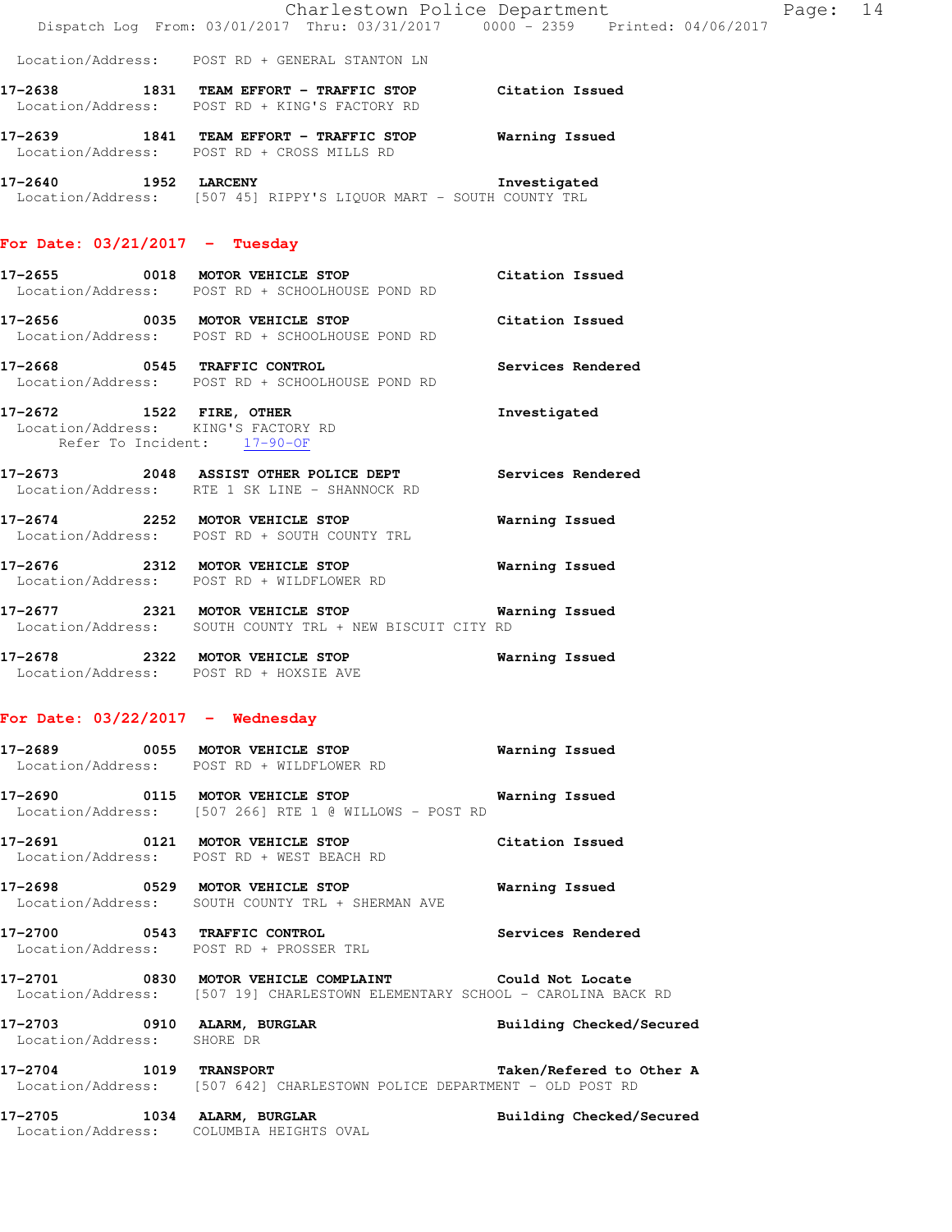|                                  | Dispatch Log From: 03/01/2017 Thru: 03/31/2017 0000 - 2359 Printed: 04/06/2017                                                       | Charlestown Police Department<br>Page: 14 |  |
|----------------------------------|--------------------------------------------------------------------------------------------------------------------------------------|-------------------------------------------|--|
|                                  | Location/Address: POST RD + GENERAL STANTON LN                                                                                       |                                           |  |
|                                  | 17-2638 1831 TEAM EFFORT - TRAFFIC STOP Citation Issued<br>Location/Address: POST RD + KING'S FACTORY RD                             |                                           |  |
|                                  | 17-2639 1841 TEAM EFFORT - TRAFFIC STOP Warning Issued<br>Location/Address: POST RD + CROSS MILLS RD                                 |                                           |  |
| 17-2640 1952 LARCENY             | Location/Address: [507 45] RIPPY'S LIQUOR MART - SOUTH COUNTY TRL                                                                    | Investigated                              |  |
| For Date: $03/21/2017$ - Tuesday |                                                                                                                                      |                                           |  |
|                                  | 17-2655 0018 MOTOR VEHICLE STOP Citation Issued<br>Location/Address: POST RD + SCHOOLHOUSE POND RD                                   |                                           |  |
|                                  | 17-2656 0035 MOTOR VEHICLE STOP<br>Location/Address: POST RD + SCHOOLHOUSE POND RD                                                   | Citation Issued                           |  |
|                                  | 17-2668 0545 TRAFFIC CONTROL<br>Location/Address: POST RD + SCHOOLHOUSE POND RD                                                      | Services Rendered                         |  |
|                                  | 17-2672 1522 FIRE, OTHER<br>Location/Address: KING'S FACTORY RD<br>Refer To Incident: 17-90-OF                                       | Investigated                              |  |
|                                  | 17-2673 2048 ASSIST OTHER POLICE DEPT Services Rendered<br>Location/Address: RTE 1 SK LINE - SHANNOCK RD                             |                                           |  |
|                                  | 17-2674 2252 MOTOR VEHICLE STOP<br>Location/Address: POST RD + SOUTH COUNTY TRL                                                      | Warning Issued                            |  |
|                                  | 17-2676 2312 MOTOR VEHICLE STOP<br>Location/Address: POST RD + WILDFLOWER RD                                                         | Warning Issued                            |  |
|                                  | 17-2677 2321 MOTOR VEHICLE STOP<br>Location/Address: SOUTH COUNTY TRL + NEW BISCUIT CITY RD                                          | Warning Issued                            |  |
|                                  | 17-2678 2322 MOTOR VEHICLE STOP<br>Location/Address: POST RD + HOXSIE AVE                                                            | Warning Issued                            |  |
|                                  | For Date: $03/22/2017$ - Wednesday                                                                                                   |                                           |  |
|                                  | 17-2689 0055 MOTOR VEHICLE STOP<br>Location/Address: POST RD + WILDFLOWER RD                                                         | <b>Warning Issued</b>                     |  |
|                                  | 17-2690 0115 MOTOR VEHICLE STOP Warning Issued<br>Location/Address: [507 266] RTE 1 @ WILLOWS - POST RD                              |                                           |  |
|                                  | 17-2691 0121 MOTOR VEHICLE STOP Citation Issued<br>Location/Address: POST RD + WEST BEACH RD                                         |                                           |  |
|                                  | 17-2698 0529 MOTOR VEHICLE STOP<br>Location/Address: SOUTH COUNTY TRL + SHERMAN AVE                                                  | Warning Issued                            |  |
|                                  | 17-2700 0543 TRAFFIC CONTROL 2000 Services Rendered<br>Location/Address: POST RD + PROSSER TRL                                       |                                           |  |
|                                  | 17-2701 0830 MOTOR VEHICLE COMPLAINT Could Not Locate<br>Location/Address: [507 19] CHARLESTOWN ELEMENTARY SCHOOL - CAROLINA BACK RD |                                           |  |
| Location/Address: SHORE DR       | 17-2703 0910 ALARM, BURGLAR                                                                                                          | Building Checked/Secured                  |  |
|                                  | 17-2704 1019 TRANSPORT<br>Location/Address: [507 642] CHARLESTOWN POLICE DEPARTMENT - OLD POST RD                                    | Taken/Refered to Other A                  |  |
|                                  | 17-2705 1034 ALARM, BURGLAR<br>Location/Address: COLUMBIA HEIGHTS OVAL                                                               | Building Checked/Secured                  |  |
|                                  |                                                                                                                                      |                                           |  |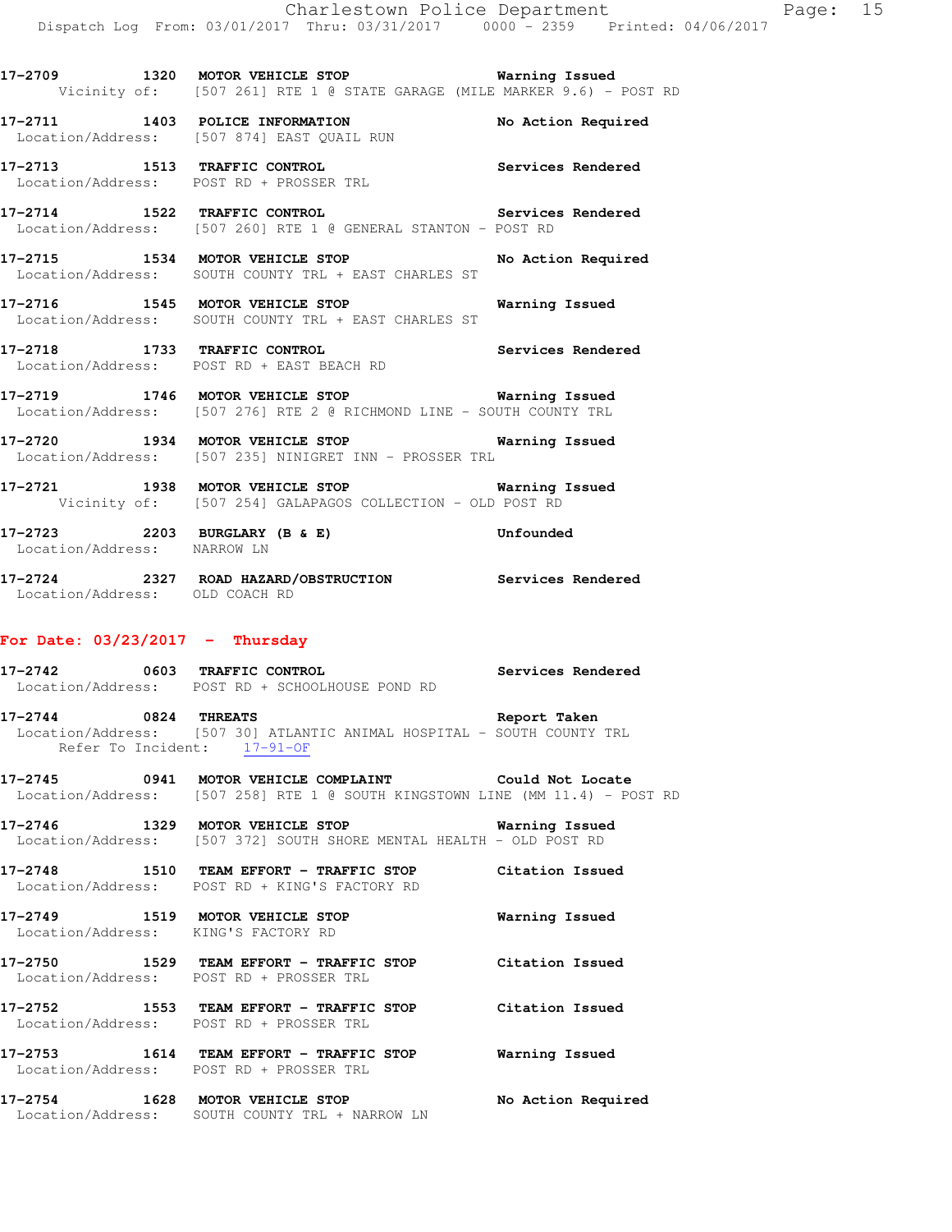**17-2711 1403 POLICE INFORMATION No Action Required**  Location/Address: [507 874] EAST QUAIL RUN

**17-2713 1513 TRAFFIC CONTROL Services Rendered**  Location/Address: POST RD + PROSSER TRL

**17-2714 1522 TRAFFIC CONTROL Services Rendered**  Location/Address: [507 260] RTE 1 @ GENERAL STANTON - POST RD

**17-2715 1534 MOTOR VEHICLE STOP No Action Required**  Location/Address: SOUTH COUNTY TRL + EAST CHARLES ST

**17-2716 1545 MOTOR VEHICLE STOP Warning Issued**  Location/Address: SOUTH COUNTY TRL + EAST CHARLES ST

**17-2718 1733 TRAFFIC CONTROL Services Rendered**  Location/Address: POST RD + EAST BEACH RD

**17-2719 1746 MOTOR VEHICLE STOP Warning Issued**  Location/Address: [507 276] RTE 2 @ RICHMOND LINE - SOUTH COUNTY TRL

**17-2720 1934 MOTOR VEHICLE STOP Warning Issued**  Location/Address: [507 235] NINIGRET INN - PROSSER TRL

**17-2721 1938 MOTOR VEHICLE STOP Warning Issued**  Vicinity of: [507 254] GALAPAGOS COLLECTION - OLD POST RD

**17-2723 2203 BURGLARY (B & E) Unfounded**  Location/Address: NARROW LN

**17-2724 2327 ROAD HAZARD/OBSTRUCTION Services Rendered**  Location/Address: OLD COACH RD

### **For Date: 03/23/2017 - Thursday**

**17-2742 0603 TRAFFIC CONTROL Services Rendered**  Location/Address: POST RD + SCHOOLHOUSE POND RD

**17-2744 0824 THREATS Report Taken**  Location/Address: [507 30] ATLANTIC ANIMAL HOSPITAL - SOUTH COUNTY TRL Refer To Incident: 17-91-OF

**17-2745 0941 MOTOR VEHICLE COMPLAINT Could Not Locate**  Location/Address: [507 258] RTE 1 @ SOUTH KINGSTOWN LINE (MM 11.4) - POST RD

**17-2746 1329 MOTOR VEHICLE STOP Warning Issued**  Location/Address: [507 372] SOUTH SHORE MENTAL HEALTH - OLD POST RD

**17-2748 1510 TEAM EFFORT - TRAFFIC STOP Citation Issued**  Location/Address: POST RD + KING'S FACTORY RD

**17-2749 1519 MOTOR VEHICLE STOP Warning Issued**  Location/Address: KING'S FACTORY RD

**17-2750 1529 TEAM EFFORT - TRAFFIC STOP Citation Issued**  Location/Address: POST RD + PROSSER TRL

**17-2752 1553 TEAM EFFORT - TRAFFIC STOP Citation Issued**  Location/Address: POST RD + PROSSER TRL

**17-2753 1614 TEAM EFFORT - TRAFFIC STOP Warning Issued**  Location/Address: POST RD + PROSSER TRL

**17-2754 1628 MOTOR VEHICLE STOP No Action Required**  Location/Address: SOUTH COUNTY TRL + NARROW LN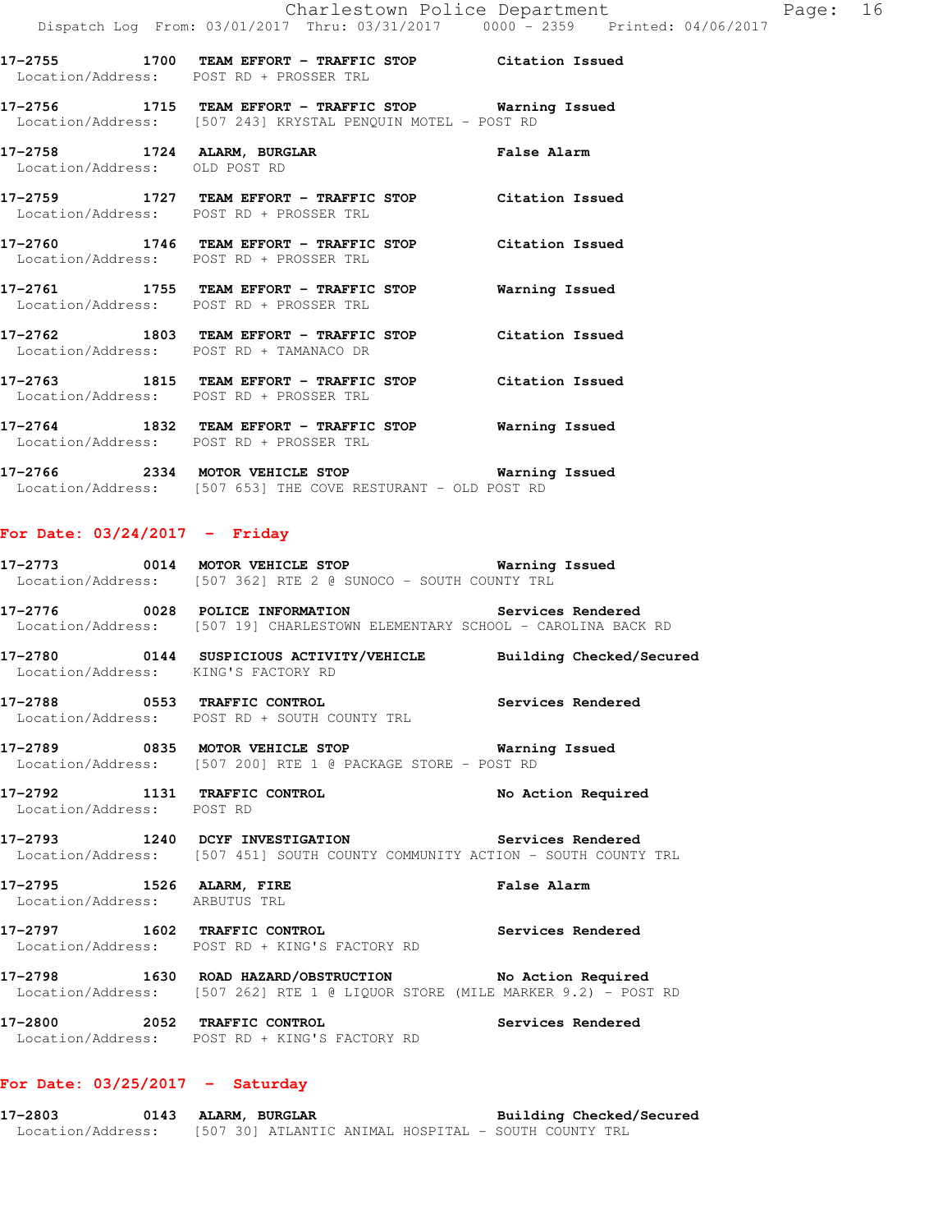- **17-2755 1700 TEAM EFFORT TRAFFIC STOP Citation Issued**  Location/Address: POST RD + PROSSER TRL
- **17-2756 1715 TEAM EFFORT TRAFFIC STOP Warning Issued**  Location/Address: [507 243] KRYSTAL PENQUIN MOTEL - POST RD
- **17-2758 1724 ALARM, BURGLAR False Alarm**  Location/Address: OLD POST RD
- **17-2759 1727 TEAM EFFORT TRAFFIC STOP Citation Issued**  Location/Address: POST RD + PROSSER TRL
- **17-2760 1746 TEAM EFFORT TRAFFIC STOP Citation Issued**  Location/Address: POST RD + PROSSER TRL
- **17-2761 1755 TEAM EFFORT TRAFFIC STOP Warning Issued**  Location/Address: POST RD + PROSSER TRL
- **17-2762 1803 TEAM EFFORT TRAFFIC STOP Citation Issued**  Location/Address: POST RD + TAMANACO DR
- **17-2763 1815 TEAM EFFORT TRAFFIC STOP Citation Issued**  Location/Address: POST RD + PROSSER TRL **17-2764 1832 TEAM EFFORT - TRAFFIC STOP Warning Issued**
- Location/Address: POST RD + PROSSER TRL
- **17-2766 2334 MOTOR VEHICLE STOP Warning Issued**  Location/Address: [507 653] THE COVE RESTURANT - OLD POST RD

### **For Date: 03/24/2017 - Friday**

- **17-2773 0014 MOTOR VEHICLE STOP Warning Issued**  Location/Address: [507 362] RTE 2 @ SUNOCO - SOUTH COUNTY TRL
- **17-2776 0028 POLICE INFORMATION Services Rendered**  Location/Address: [507 19] CHARLESTOWN ELEMENTARY SCHOOL - CAROLINA BACK RD
- **17-2780 0144 SUSPICIOUS ACTIVITY/VEHICLE Building Checked/Secured**  Location/Address: KING'S FACTORY RD
- **17-2788 0553 TRAFFIC CONTROL Services Rendered**  Location/Address: POST RD + SOUTH COUNTY TRL
- **17-2789 0835 MOTOR VEHICLE STOP Warning Issued**  Location/Address: [507 200] RTE 1 @ PACKAGE STORE - POST RD
- **17-2792 1131 TRAFFIC CONTROL No Action Required**  Location/Address: POST RD
- **17-2793 1240 DCYF INVESTIGATION Services Rendered**  Location/Address: [507 451] SOUTH COUNTY COMMUNITY ACTION - SOUTH COUNTY TRL
- **17-2795 1526 ALARM, FIRE False Alarm**  Location/Address: ARBUTUS TRL
- **17-2797 1602 TRAFFIC CONTROL Services Rendered**  Location/Address: POST RD + KING'S FACTORY RD
- **17-2798 1630 ROAD HAZARD/OBSTRUCTION No Action Required**  Location/Address: [507 262] RTE 1 @ LIQUOR STORE (MILE MARKER 9.2) - POST RD
- **17-2800 2052 TRAFFIC CONTROL Services Rendered**  Location/Address: POST RD + KING'S FACTORY RD

### **For Date: 03/25/2017 - Saturday**

**17-2803 0143 ALARM, BURGLAR Building Checked/Secured**  Location/Address: [507 30] ATLANTIC ANIMAL HOSPITAL - SOUTH COUNTY TRL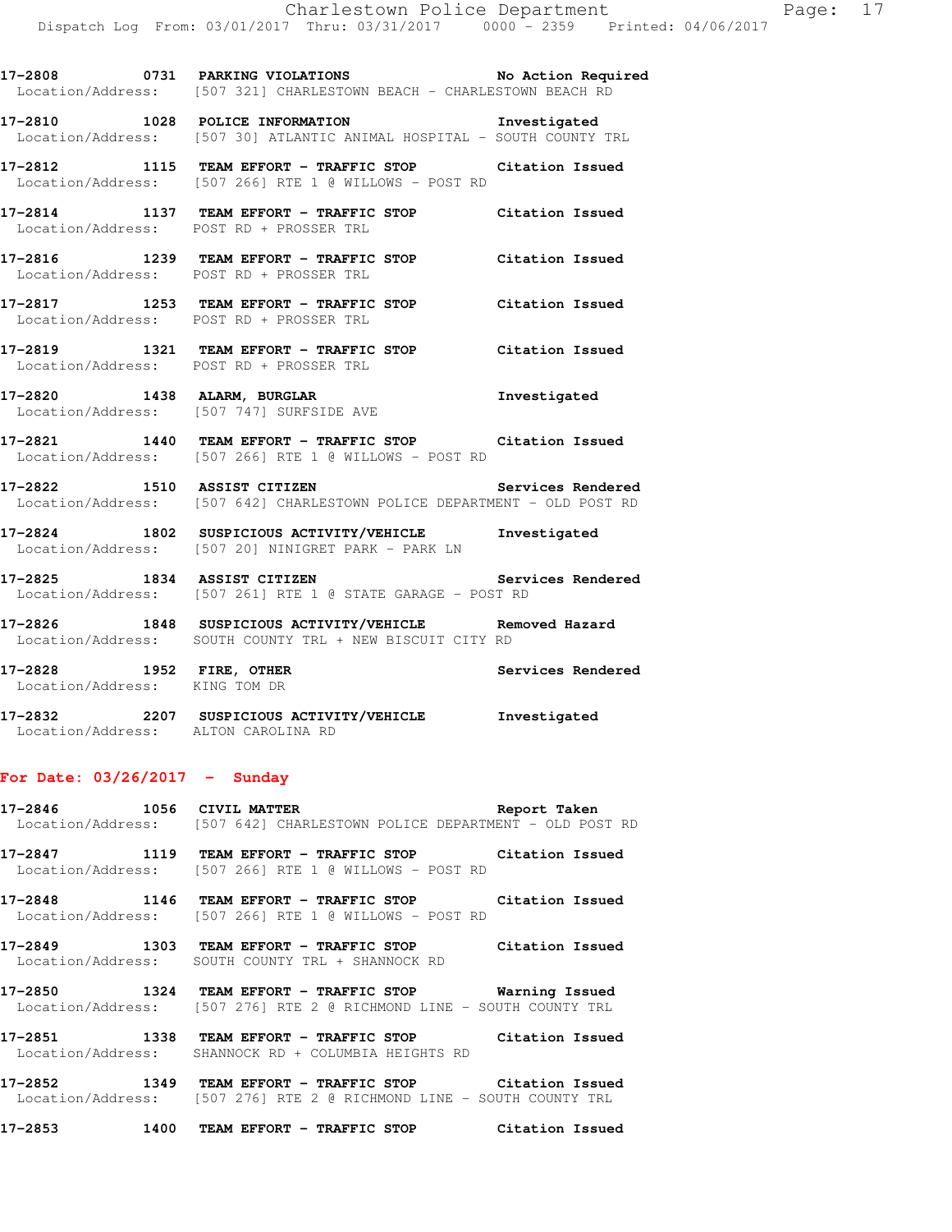**17-2810 1028 POLICE INFORMATION Investigated**  Location/Address: [507 30] ATLANTIC ANIMAL HOSPITAL - SOUTH COUNTY TRL

**17-2812 1115 TEAM EFFORT - TRAFFIC STOP Citation Issued**  Location/Address: [507 266] RTE 1 @ WILLOWS - POST RD

- **17-2814 1137 TEAM EFFORT TRAFFIC STOP Citation Issued**  Location/Address: POST RD + PROSSER TRL
- **17-2816 1239 TEAM EFFORT TRAFFIC STOP Citation Issued**  Location/Address: POST RD + PROSSER TRL
- **17-2817 1253 TEAM EFFORT TRAFFIC STOP Citation Issued**  Location/Address: POST RD + PROSSER TRL
- **17-2819 1321 TEAM EFFORT TRAFFIC STOP Citation Issued**  Location/Address: POST RD + PROSSER TRL
- **17-2820 1438 ALARM, BURGLAR Investigated**  Location/Address: [507 747] SURFSIDE AVE
- **17-2821 1440 TEAM EFFORT TRAFFIC STOP Citation Issued**  Location/Address: [507 266] RTE 1 @ WILLOWS - POST RD
- **17-2822 1510 ASSIST CITIZEN Services Rendered**  Location/Address: [507 642] CHARLESTOWN POLICE DEPARTMENT - OLD POST RD
- **17-2824 1802 SUSPICIOUS ACTIVITY/VEHICLE Investigated**  Location/Address: [507 20] NINIGRET PARK - PARK LN
- **17-2825 1834 ASSIST CITIZEN Services Rendered**  Location/Address: [507 261] RTE 1 @ STATE GARAGE - POST RD
- **17-2826 1848 SUSPICIOUS ACTIVITY/VEHICLE Removed Hazard**  Location/Address: SOUTH COUNTY TRL + NEW BISCUIT CITY RD
- **17-2828 1952 FIRE, OTHER Services Rendered**  Location/Address: KING TOM DR
- **17-2832 2207 SUSPICIOUS ACTIVITY/VEHICLE Investigated**  Location/Address: ALTON CAROLINA RD

### **For Date: 03/26/2017 - Sunday**

**17-2846 1056 CIVIL MATTER Report Taken**  Location/Address: [507 642] CHARLESTOWN POLICE DEPARTMENT - OLD POST RD

**17-2847 1119 TEAM EFFORT - TRAFFIC STOP Citation Issued**  Location/Address: [507 266] RTE 1 @ WILLOWS - POST RD

**17-2848 1146 TEAM EFFORT - TRAFFIC STOP Citation Issued**  Location/Address: [507 266] RTE 1 @ WILLOWS - POST RD

**17-2849 1303 TEAM EFFORT - TRAFFIC STOP Citation Issued**  Location/Address: SOUTH COUNTY TRL + SHANNOCK RD

**17-2850 1324 TEAM EFFORT - TRAFFIC STOP Warning Issued**  Location/Address: [507 276] RTE 2 @ RICHMOND LINE - SOUTH COUNTY TRL

**17-2851 1338 TEAM EFFORT - TRAFFIC STOP Citation Issued**  Location/Address: SHANNOCK RD + COLUMBIA HEIGHTS RD

**17-2852 1349 TEAM EFFORT - TRAFFIC STOP Citation Issued**  Location/Address: [507 276] RTE 2 @ RICHMOND LINE - SOUTH COUNTY TRL

**17-2853 1400 TEAM EFFORT - TRAFFIC STOP Citation Issued**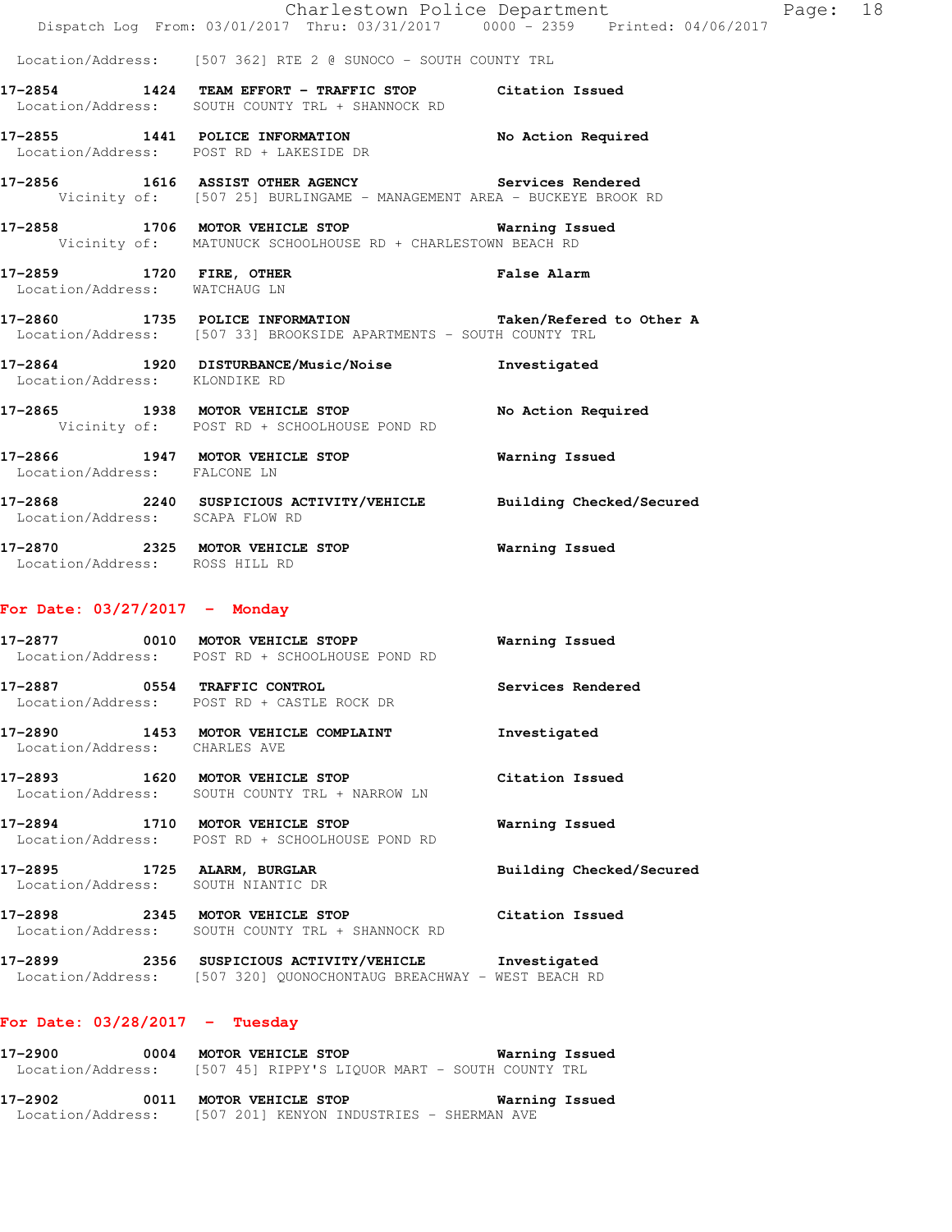|                                  |                                                                                                                                | Charlestown Police Department | Page: 18 |  |
|----------------------------------|--------------------------------------------------------------------------------------------------------------------------------|-------------------------------|----------|--|
|                                  | Dispatch Log From: 03/01/2017 Thru: 03/31/2017 0000 - 2359 Printed: 04/06/2017                                                 |                               |          |  |
|                                  | Location/Address: [507 362] RTE 2 @ SUNOCO - SOUTH COUNTY TRL                                                                  |                               |          |  |
|                                  | 17-2854 1424 TEAM EFFORT - TRAFFIC STOP Citation Issued<br>Location/Address: SOUTH COUNTY TRL + SHANNOCK RD                    |                               |          |  |
|                                  | 17-2855 1441 POLICE INFORMATION<br>Location/Address: POST RD + LAKESIDE DR                                                     | No Action Required            |          |  |
|                                  | 17-2856 1616 ASSIST OTHER AGENCY Services Rendered<br>Vicinity of: [507 25] BURLINGAME - MANAGEMENT AREA - BUCKEYE BROOK RD    |                               |          |  |
|                                  | 17-2858 1706 MOTOR VEHICLE STOP 6 Warning Issued<br>Vicinity of: MATUNUCK SCHOOLHOUSE RD + CHARLESTOWN BEACH RD                |                               |          |  |
| Location/Address: WATCHAUG LN    | 17-2859 1720 FIRE, OTHER 17-2859 False Alarm                                                                                   |                               |          |  |
|                                  | 17-2860 1735 POLICE INFORMATION Taken/Refered to Other A<br>Location/Address: [507 33] BROOKSIDE APARTMENTS - SOUTH COUNTY TRL |                               |          |  |
| Location/Address: KLONDIKE RD    | 17-2864 1920 DISTURBANCE/Music/Noise Investigated                                                                              |                               |          |  |
|                                  | 17-2865 1938 MOTOR VEHICLE STOP<br>Vicinity of: POST RD + SCHOOLHOUSE POND RD                                                  | No Action Required            |          |  |
| Location/Address: FALCONE LN     | 17-2866 1947 MOTOR VEHICLE STOP 6 Warning Issued                                                                               |                               |          |  |
| Location/Address: SCAPA FLOW RD  | 17-2868 2240 SUSPICIOUS ACTIVITY/VEHICLE Building Checked/Secured                                                              |                               |          |  |
| Location/Address: ROSS HILL RD   |                                                                                                                                |                               |          |  |
| For Date: $03/27/2017$ - Monday  |                                                                                                                                |                               |          |  |
|                                  | 17-2877 0010 MOTOR VEHICLE STOPP 6 Warning Issued<br>Location/Address: POST RD + SCHOOLHOUSE POND RD                           |                               |          |  |
|                                  | 17-2887 0554 TRAFFIC CONTROL<br>Location/Address: POST RD + CASTLE ROCK DR                                                     | Services Rendered             |          |  |
| Location/Address: CHARLES AVE    | 17-2890 1453 MOTOR VEHICLE COMPLAINT                                                                                           | Investigated                  |          |  |
|                                  | 17-2893 1620 MOTOR VEHICLE STOP<br>Location/Address: SOUTH COUNTY TRL + NARROW LN                                              | Citation Issued               |          |  |
|                                  | 17-2894 1710 MOTOR VEHICLE STOP<br>Location/Address: POST RD + SCHOOLHOUSE POND RD                                             | Warning Issued                |          |  |
|                                  | 17-2895 1725 ALARM, BURGLAR<br>Location/Address: SOUTH NIANTIC DR                                                              | Building Checked/Secured      |          |  |
|                                  | 17-2898 2345 MOTOR VEHICLE STOP Citation Issued<br>Location/Address: SOUTH COUNTY TRL + SHANNOCK RD                            |                               |          |  |
|                                  | 17-2899 2356 SUSPICIOUS ACTIVITY/VEHICLE Investigated<br>Location/Address: [507 320] QUONOCHONTAUG BREACHWAY - WEST BEACH RD   |                               |          |  |
| For Date: $03/28/2017 - Tuesday$ |                                                                                                                                |                               |          |  |
|                                  | 17-2900 0004 MOTOR VEHICLE STOP 6 Warning Issued<br>Location/Address: [507 45] RIPPY'S LIQUOR MART - SOUTH COUNTY TRL          |                               |          |  |
|                                  | 17-2902 0011 MOTOR VEHICLE STOP 6 Warning Issued                                                                               |                               |          |  |

Location/Address: [507 201] KENYON INDUSTRIES - SHERMAN AVE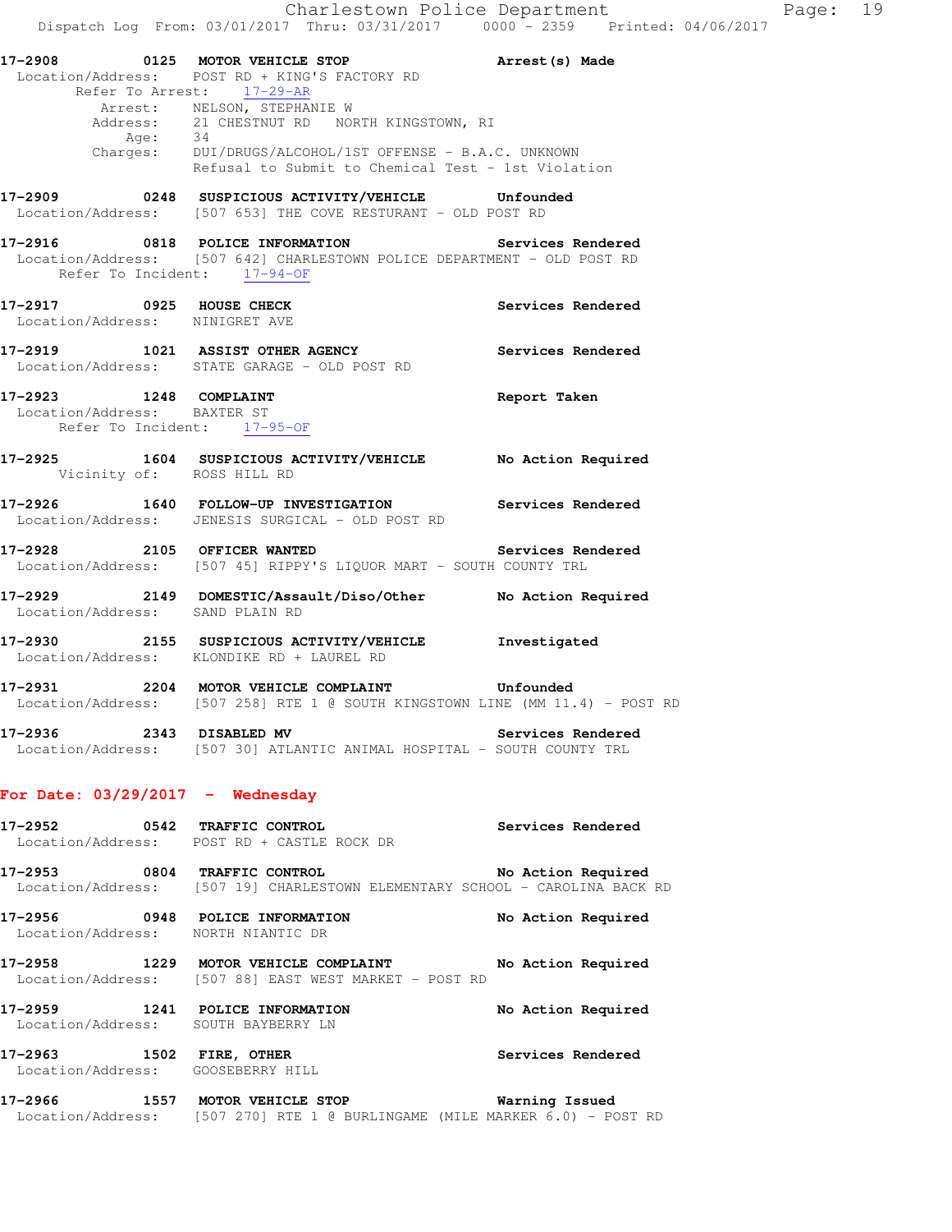Charlestown Police Department Page: 19 Dispatch Log From: 03/01/2017 Thru: 03/31/2017 0000 - 2359 Printed: 04/06/2017 **17-2908 0125 MOTOR VEHICLE STOP Arrest(s) Made**  Location/Address: POST RD + KING'S FACTORY RD Refer To Arrest: 17-29-AR Arrest: NELSON, STEPHANIE W Address: 21 CHESTNUT RD NORTH KINGSTOWN, RI Age: 34 Charges: DUI/DRUGS/ALCOHOL/1ST OFFENSE - B.A.C. UNKNOWN Refusal to Submit to Chemical Test - 1st Violation **17-2909 0248 SUSPICIOUS ACTIVITY/VEHICLE Unfounded**  Location/Address: [507 653] THE COVE RESTURANT - OLD POST RD **17-2916 0818 POLICE INFORMATION Services Rendered**  Location/Address: [507 642] CHARLESTOWN POLICE DEPARTMENT - OLD POST RD Refer To Incident: 17-94-OF 17-2917 **0925 HOUSE CHECK 17-2917 Services Rendered**  Location/Address: NINIGRET AVE **17-2919 1021 ASSIST OTHER AGENCY Services Rendered**  Location/Address: STATE GARAGE - OLD POST RD **17-2923 1248 COMPLAINT Report Taken**  Location/Address: BAXTER ST Refer To Incident: 17-95-OF **17-2925 1604 SUSPICIOUS ACTIVITY/VEHICLE No Action Required**  Vicinity of: ROSS HILL RD **17-2926 1640 FOLLOW-UP INVESTIGATION Services Rendered**  Location/Address: JENESIS SURGICAL - OLD POST RD **17-2928 2105 OFFICER WANTED Services Rendered**  Location/Address: [507 45] RIPPY'S LIQUOR MART - SOUTH COUNTY TRL **17-2929 2149 DOMESTIC/Assault/Diso/Other No Action Required**  Location/Address: SAND PLAIN RD **17-2930 2155 SUSPICIOUS ACTIVITY/VEHICLE Investigated**  Location/Address: KLONDIKE RD + LAUREL RD **17-2931 2204 MOTOR VEHICLE COMPLAINT Unfounded**  Location/Address: [507 258] RTE 1 @ SOUTH KINGSTOWN LINE (MM 11.4) - POST RD **17-2936 2343 DISABLED MV Services Rendered**  Location/Address: [507 30] ATLANTIC ANIMAL HOSPITAL - SOUTH COUNTY TRL **For Date: 03/29/2017 - Wednesday 17-2952 0542 TRAFFIC CONTROL Services Rendered**  Location/Address: POST RD + CASTLE ROCK DR **17-2953 0804 TRAFFIC CONTROL No Action Required**  Location/Address: [507 19] CHARLESTOWN ELEMENTARY SCHOOL - CAROLINA BACK RD **17-2956 0948 POLICE INFORMATION No Action Required**  Location/Address: NORTH NIANTIC DR **17-2958 1229 MOTOR VEHICLE COMPLAINT No Action Required**  Location/Address: [507 88] EAST WEST MARKET - POST RD **17-2959 1241 POLICE INFORMATION No Action Required**  Location/Address: SOUTH BAYBERRY LN **17-2963 1502 FIRE, OTHER Services Rendered**  Location/Address: GOOSEBERRY HILL **17-2966 1557 MOTOR VEHICLE STOP Warning Issued** 

Location/Address: [507 270] RTE 1 @ BURLINGAME (MILE MARKER 6.0) - POST RD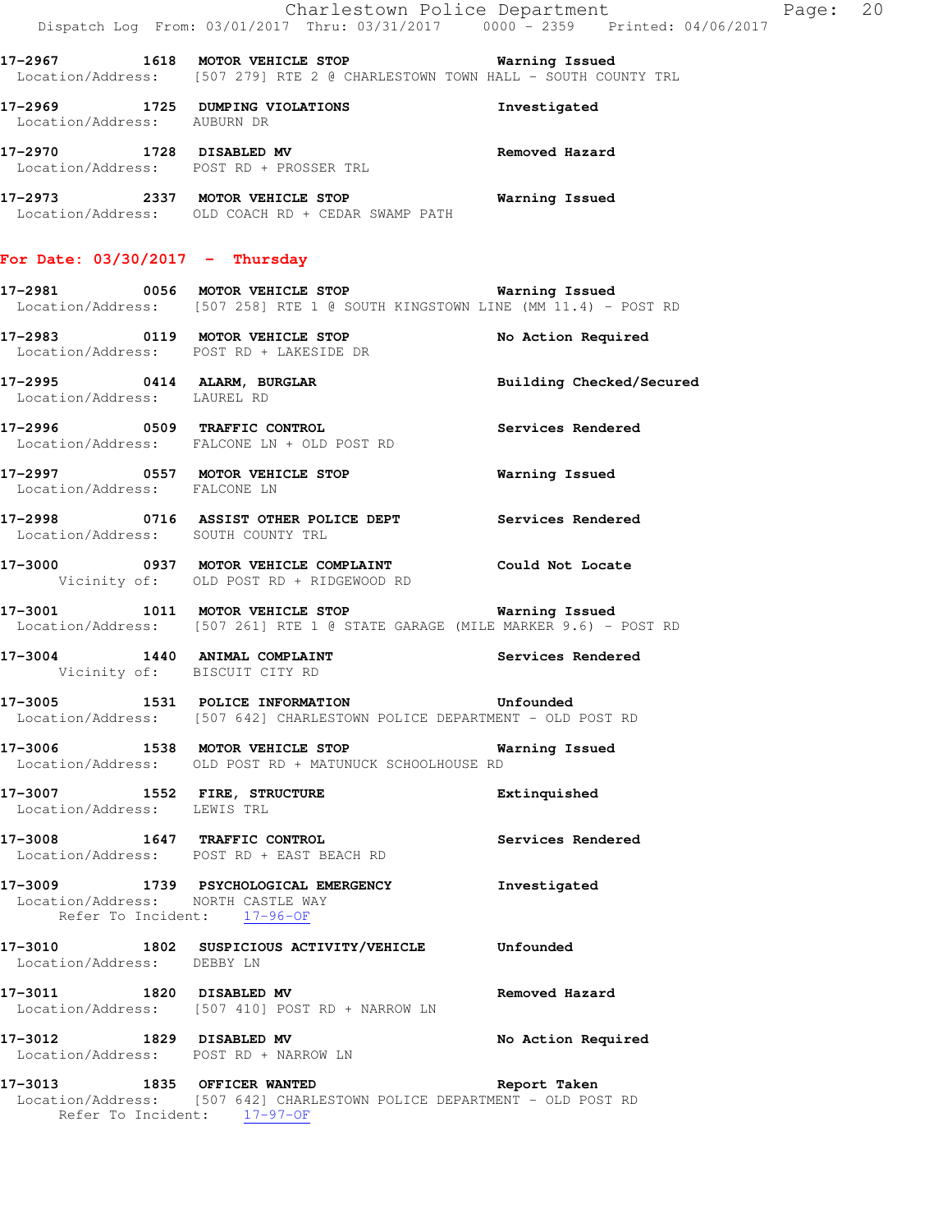|                                   |                                                                                                                                       | Charlestown Police Department<br>Page: 20 |
|-----------------------------------|---------------------------------------------------------------------------------------------------------------------------------------|-------------------------------------------|
|                                   | Location/Address: [507 279] RTE 2 @ CHARLESTOWN TOWN HALL - SOUTH COUNTY TRL                                                          |                                           |
| Location/Address: AUBURN DR       | 17-2969 1725 DUMPING VIOLATIONS                                                                                                       | Investigated                              |
|                                   | 17-2970 1728 DISABLED MV<br>Location/Address: POST RD + PROSSER TRL                                                                   | Removed Hazard                            |
|                                   | 17-2973 2337 MOTOR VEHICLE STOP <b>WATER Mand State</b><br>Location/Address: OLD COACH RD + CEDAR SWAMP PATH                          |                                           |
| For Date: $03/30/2017$ - Thursday |                                                                                                                                       |                                           |
|                                   | Location/Address: [507 258] RTE 1 @ SOUTH KINGSTOWN LINE (MM 11.4) - POST RD                                                          |                                           |
|                                   | 17-2983 0119 MOTOR VEHICLE STOP<br>Location/Address: POST RD + LAKESIDE DR                                                            | No Action Required                        |
| Location/Address: LAUREL RD       | 17-2995 0414 ALARM, BURGLAR <b>Example 18 and Solution Checked/Secured</b>                                                            |                                           |
|                                   | 17-2996 0509 TRAFFIC CONTROL<br>Location/Address: FALCONE LN + OLD POST RD                                                            | Services Rendered                         |
| Location/Address: FALCONE LN      | 17-2997 0557 MOTOR VEHICLE STOP <b>Warning Issued</b>                                                                                 |                                           |
|                                   | 17-2998 0716 ASSIST OTHER POLICE DEPT Services Rendered<br>Location/Address: SOUTH COUNTY TRL                                         |                                           |
|                                   | 17-3000 0937 MOTOR VEHICLE COMPLAINT Could Not Locate<br>Vicinity of: OLD POST RD + RIDGEWOOD RD                                      |                                           |
|                                   | 17-3001 1011 MOTOR VEHICLE STOP <b>Warning Issued</b><br>Location/Address: [507 261] RTE 1 @ STATE GARAGE (MILE MARKER 9.6) - POST RD |                                           |
|                                   | 17-3004 1440 ANIMAL COMPLAINT<br>Vicinity of: BISCUIT CITY RD                                                                         | Services Rendered                         |
|                                   | 17-3005 1531 POLICE INFORMATION 17-3005 Unfounded<br>Location/Address: [507 642] CHARLESTOWN POLICE DEPARTMENT - OLD POST RD          |                                           |
|                                   | 17-3006 1538 MOTOR VEHICLE STOP <b>Warning Issued</b><br>Location/Address: OLD POST RD + MATUNUCK SCHOOLHOUSE RD                      |                                           |
| Location/Address: LEWIS TRL       | 17-3007 1552 FIRE, STRUCTURE                                                                                                          | Extinquished                              |
|                                   | 17-3008 1647 TRAFFIC CONTROL<br>Location/Address: POST RD + EAST BEACH RD                                                             | Services Rendered                         |
|                                   | 17-3009 1739 PSYCHOLOGICAL EMERGENCY<br>Location/Address: NORTH CASTLE WAY<br>Refer To Incident: 17-96-OF                             | Investigated                              |
| Location/Address: DEBBY LN        | 17-3010 1802 SUSPICIOUS ACTIVITY/VEHICLE Unfounded                                                                                    |                                           |
| 17-3011 1820 DISABLED MV          | Location/Address: [507 410] POST RD + NARROW LN                                                                                       | Removed Hazard                            |
|                                   | 17-3012 1829 DISABLED MV<br>Location/Address: POST RD + NARROW LN                                                                     | No Action Required                        |
|                                   | 17-3013 1835 OFFICER WANTED<br>Location/Address: [507 642] CHARLESTOWN POLICE DEPARTMENT - OLD POST RD                                | Report Taken                              |
|                                   | Refer To Incident: 17-97-OF                                                                                                           |                                           |